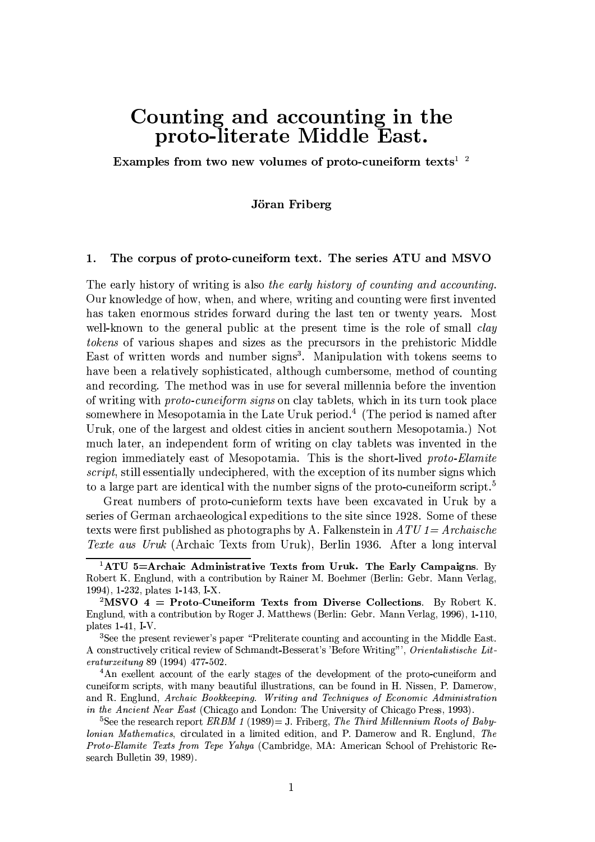# Counting and accounting in the proto-literate Middle East.

Examples from two new volumes of proto-cuneiform texts<sup> $1/2$ </sup>

# Jöran Friberg

#### 1. The corpus of proto-cuneiform text. The series ATU and MSVO

The early history of writing is also the early history of counting and accounting. Our knowledge of how, when, and where, writing and counting were first invented has taken enormous strides forward during the last ten or twenty years. Most well-known to the general public at the present time is the role of small *clay tokens* of various shapes and sizes as the precursors in the prehistoric Middle East of written words and number signs<sup>3</sup>. Manipulation with tokens seems to have been a relatively sophisticated, although cumbersome, method of counting and recording. The method was in use for several millennia before the invention of writing with *proto-cuneiform signs* on clay tablets, which in its turn took place somewhere in Mesopotamia in the Late Uruk period.<sup>4</sup> (The period is named after Uruk, one of the largest and oldest cities in ancient southern Mesopotamia.) Not much later, an independent form of writing on clay tablets was invented in the region immediately east of Mesopotamia. This is the short-lived proto-Elamite script, still essentially undeciphered, with the exception of its number signs which to a large part are identical with the number signs of the proto-cuneiform script.<sup>5</sup>

Great numbers of proto-cunieform texts have been excavated in Uruk by a series of German archaeological expeditions to the site since 1928. Some of these texts were first published as photographs by A. Falkenstein in  $ATU1 = Archasche$ Texte aus Uruk (Archaic Texts from Uruk), Berlin 1936. After a long interval

<sup>3</sup>See the present reviewer's paper "Preliterate counting and accounting in the Middle East. A constructively critical review of Schmandt-Besserat's 'Before Writing"', Orientalistische Lit $eraturzetung 89 (1994) 477-502.$ 

<sup>4</sup>An exellent account of the early stages of the development of the proto-cuneiform and cuneiform scripts, with many beautiful illustrations, can be found in H. Nissen, P. Damerow, and R. Englund, Archaic Bookkeeping. Writing and Techniques of Economic Administration *in the Ancient Near East* (Chicago and London: The University of Chicago Press, 1993).

<sup>5</sup>See the research report *ERBM* 1 (1989) = J. Friberg, *The Third Millennium Roots of Baby*lonian Mathematics, circulated in a limited edition, and P. Damerow and R. Englund, The *Proto-Elamite Texts from Tepe Yahya* (Cambridge, MA: American School of Prehistoric Research Bulletin 39, 1989).

<sup>&</sup>lt;sup>1</sup>ATU 5=Archaic Administrative Texts from Uruk. The Early Campaigns. By Robert K. Englund, with a contribution by Rainer M. Boehmer (Berlin: Gebr. Mann Verlag, 1994), 1-232, plates 1-143, I-X.

 ${}^{2}$ MSVO 4 = Proto-Cuneiform Texts from Diverse Collections. By Robert K. Englund, with a contribution by Roger J. Matthews (Berlin: Gebr. Mann Verlag, 1996), 1-110, plates  $1-41$ , I-V.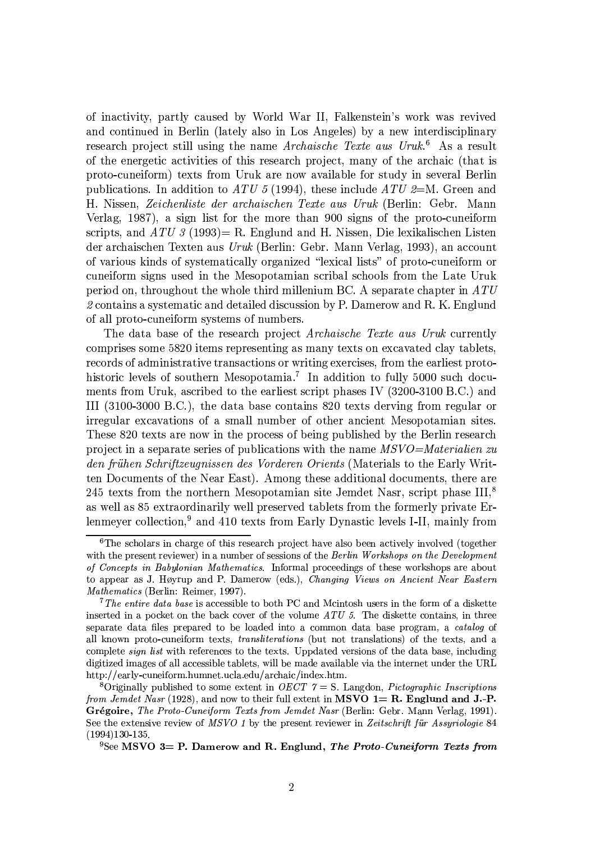of inactivity, partly caused by World War II. Falkenstein's work was revived and continued in Berlin (lately also in Los Angeles) by a new interdisciplinary research project still using the name Archaische Texte aus Uruk.<sup>6</sup> As a result of the energetic activities of this research project, many of the archaic (that is proto-cuneiform) texts from Uruk are now available for study in several Berlin publications. In addition to ATU 5 (1994), these include ATU  $2=M$ . Green and H. Nissen, Zeichenliste der archaischen Texte aus Uruk (Berlin: Gebr. Mann Verlag, 1987), a sign list for the more than 900 signs of the proto-cuneiform scripts, and  $ATU$  3 (1993) = R. Englund and H. Nissen, Die lexikalischen Listen der archaischen Texten aus Uruk (Berlin: Gebr. Mann Verlag, 1993), an account of various kinds of systematically organized "lexical lists" of proto-cuneiform or cuneiform signs used in the Mesopotamian scribal schools from the Late Uruk period on, throughout the whole third millenium BC. A separate chapter in  $ATU$ 2 contains a systematic and detailed discussion by P. Damerow and R. K. Englund of all proto-cuneiform systems of numbers.

The data base of the research project *Archaische Texte aus Uruk* currently comprises some 5820 items representing as many texts on excavated clay tablets, records of administrative transactions or writing exercises, from the earliest protohistoric levels of southern Mesopotamia.<sup>7</sup> In addition to fully 5000 such documents from Uruk, ascribed to the earliest script phases IV (3200-3100 B.C.) and III (3100-3000 B.C.), the data base contains 820 texts derving from regular or irregular excavations of a small number of other ancient Mesopotamian sites. These 820 texts are now in the process of being published by the Berlin research project in a separate series of publications with the name  $MSVO = Materialien$  zu den frühen Schriftzeugnissen des Vorderen Orients (Materials to the Early Written Documents of the Near East). Among these additional documents, there are 245 texts from the northern Mesopotamian site Jemdet Nasr, script phase III,<sup>8</sup> as well as 85 extraordinarily well preserved tablets from the formerly private Erlenmeyer collection.<sup>9</sup> and 410 texts from Early Dynastic levels I-II, mainly from

 ${}^6$ The scholars in charge of this research project have also been actively involved (together with the present reviewer) in a number of sessions of the *Berlin Workshops on the Development* of Concepts in Babylonian Mathematics. Informal proceedings of these workshops are about to appear as J. Høyrup and P. Damerow (eds.), Changing Views on Ancient Near Eastern *Mathematics* (Berlin: Reimer, 1997).

<sup>&</sup>lt;sup>7</sup>The entire data base is accessible to both PC and Mcintosh users in the form of a diskette inserted in a pocket on the back cover of the volume  $ATU$  5. The diskette contains, in three separate data files prepared to be loaded into a common data base program, a *catalog* of all known proto-cuneiform texts, *transliterations* (but not translations) of the texts, and a complete *sign list* with references to the texts. Uppdated versions of the data base, including digitized images of all accessible tablets, will be made available via the internet under the URL http://early-cuneiform.humnet.ucla.edu/archaic/index.htm.

<sup>&</sup>lt;sup>8</sup>Originally published to some extent in *OECT*  $\gamma = S$ . Langdon, *Pictographic Inscriptions* from Jemdet Nasr (1928), and now to their full extent in MSVO  $1 = R$ . Englund and J.-P. Grégoire, The Proto-Cuneiform Texts from Jemdet Nasr (Berlin: Gebr. Mann Verlag, 1991). See the extensive review of MSVO 1 by the present reviewer in Zeitschrift für Assyriologie 84  $(1994)130-135.$ 

<sup>&</sup>lt;sup>9</sup>See MSVO 3= P. Damerow and R. Englund, *The Proto-Cuneiform Texts from*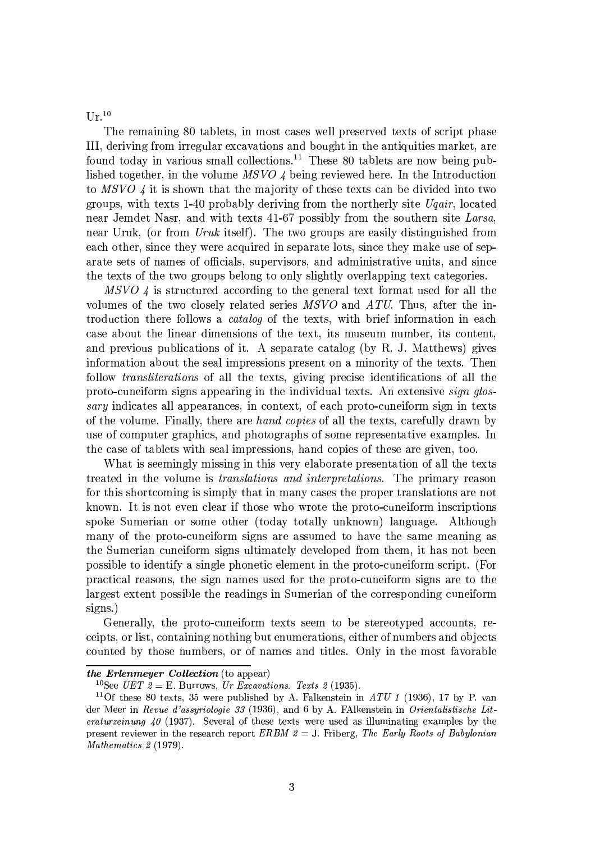$\prod_{r} 10$ 

The remaining 80 tablets, in most cases well preserved texts of script phase III, deriving from irregular excavations and bought in the antiquities market, are found today in various small collections.<sup>11</sup> These 80 tablets are now being published together, in the volume  $MSVO \downarrow$  being reviewed here. In the Introduction to  $MSVO \nmid$  it is shown that the majority of these texts can be divided into two groups, with texts 1-40 probably deriving from the northerly site *Ugair*, located near Jemdet Nasr, and with texts 41-67 possibly from the southern site Larsa, near Uruk, (or from Uruk itself). The two groups are easily distinguished from each other, since they were acquired in separate lots, since they make use of separate sets of names of officials, supervisors, and administrative units, and since the texts of the two groups belong to only slightly overlapping text categories.

MSVO 4 is structured according to the general text format used for all the volumes of the two closely related series MSVO and ATU. Thus, after the introduction there follows a *catalog* of the texts, with brief information in each case about the linear dimensions of the text, its museum number, its content, and previous publications of it. A separate catalog (by R. J. Matthews) gives information about the seal impressions present on a minority of the texts. Then follow *transliterations* of all the texts, giving precise identifications of all the proto-cuneiform signs appearing in the individual texts. An extensive *sign glossary* indicates all appearances, in context, of each proto-cuneiform sign in texts of the volume. Finally, there are hand copies of all the texts, carefully drawn by use of computer graphics, and photographs of some representative examples. In the case of tablets with seal impressions, hand copies of these are given, too.

What is seemingly missing in this very elaborate presentation of all the texts treated in the volume is *translations and interpretations*. The primary reason for this shortcoming is simply that in many cases the proper translations are not known. It is not even clear if those who wrote the proto-cuneiform inscriptions spoke Sumerian or some other (today totally unknown) language. Although many of the proto-cuneiform signs are assumed to have the same meaning as the Sumerian cuneiform signs ultimately developed from them, it has not been possible to identify a single phonetic element in the proto-cuneiform script. (For practical reasons, the sign names used for the proto-cuneiform signs are to the largest extent possible the readings in Sumerian of the corresponding cuneiform  $signs.$ )

Generally, the proto-cuneiform texts seem to be stereotyped accounts, receipts, or list, containing nothing but enumerations, either of numbers and objects counted by those numbers, or of names and titles. Only in the most favorable

the Erlenmeyer Collection (to appear)

<sup>&</sup>lt;sup>10</sup>See *UET*  $2 = E$ . Burrows, *Ur Excavations. Texts* 2 (1935).

<sup>&</sup>lt;sup>11</sup>Of these 80 texts, 35 were published by A. Falkenstein in ATU 1 (1936), 17 by P. van der Meer in Revue d'assyriologie 33 (1936), and 6 by A. FAlkenstein in Orientalistische Lit*eraturzeinung 40* (1937). Several of these texts were used as illuminating examples by the present reviewer in the research report ERBM  $2 = J$ . Friberg, The Early Roots of Babylonian Mathematics 2 (1979).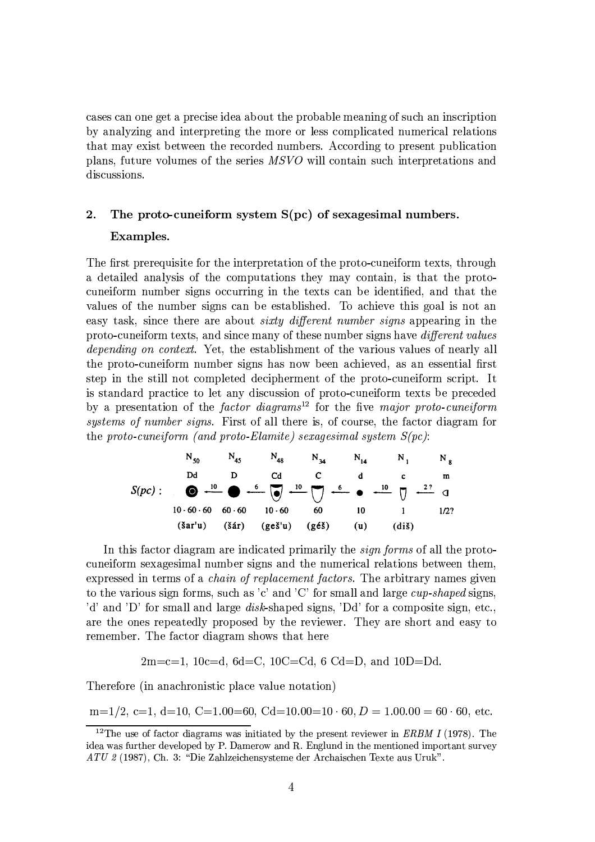cases can one get a precise idea about the probable meaning of such an inscription by analyzing and interpreting the more or less complicated numerical relations that may exist between the recorded numbers. According to present publication plans, future volumes of the series MSVO will contain such interpretations and discussions.

# $\overline{2}$ . The proto-cuneiform system  $S(pc)$  of sexagesimal numbers.

# Examples.

The first prerequisite for the interpretation of the proto-cuneiform texts, through a detailed analysis of the computations they may contain, is that the protocuneiform number signs occurring in the texts can be identified, and that the values of the number signs can be established. To achieve this goal is not an easy task, since there are about *sixty different number signs* appearing in the proto-cuneiform texts, and since many of these number signs have *different values depending on context.* Yet, the establishment of the various values of nearly all the proto-cuneiform number signs has now been achieved, as an essential first step in the still not completed decipherment of the proto-cuneiform script. It is standard practice to let any discussion of proto-cuneiform texts be preceded by a presentation of the *factor* diagrams<sup>12</sup> for the five major proto-cuneiform systems of number signs. First of all there is, of course, the factor diagram for the proto-cuneiform (and proto-Elamite) sexagesimal system  $S(pc)$ :

$$
N_{50} \t N_{45} \t N_{48} \t N_{34} \t N_{14} \t N_{1} \t N_{8}
$$
  
20 d D C d C d c m  

$$
S(pc): \t O + \frac{10}{\sqrt{10}} \t O + \frac{6}{\sqrt{10}} \t O + \frac{10}{\sqrt{10}} \t O + \frac{6}{\sqrt{10}} \t O + \frac{10}{\sqrt{10}} \t O + \frac{2?}{\sqrt{10}} \t O
$$
  
10.60.60 60.60 10.60 60 10 1 1 1/2?  
(3ár'u) (3ár) (geš'u) (géš) (u) (diš)

In this factor diagram are indicated primarily the *sign forms* of all the protocuneiform sexagesimal number signs and the numerical relations between them, expressed in terms of a *chain of replacement factors*. The arbitrary names given to the various sign forms, such as 'c' and 'C' for small and large  $cup$ -shaped signs, 'd' and 'D' for small and large *disk*-shaped signs, 'Dd' for a composite sign, etc., are the ones repeatedly proposed by the reviewer. They are short and easy to remember. The factor diagram shows that here

 $2m=c=1, 10c=d, 6d=C, 10C=Cd, 6Cd=D, and 10D=Dd.$ 

Therefore (in anachronistic place value notation)

 $m=1/2$ , c=1, d=10, C=1.00=60, Cd=10.00=10 · 60, D = 1.00.00 = 60 · 60, etc.

<sup>&</sup>lt;sup>12</sup>The use of factor diagrams was initiated by the present reviewer in *ERBM I* (1978). The idea was further developed by P. Damerow and R. Englund in the mentioned important survey ATU 2 (1987), Ch. 3: "Die Zahlzeichensysteme der Archaischen Texte aus Uruk".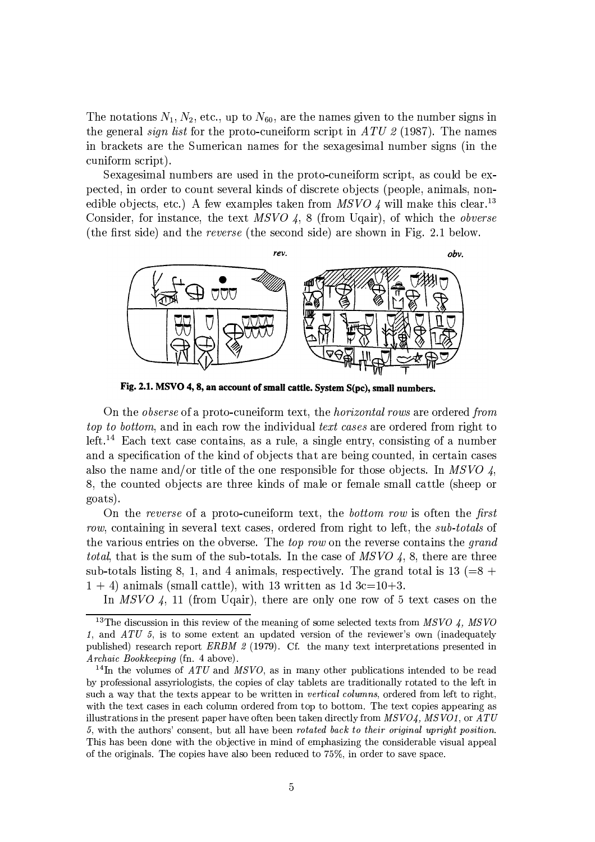The notations  $N_1, N_2$ , etc., up to  $N_{60}$ , are the names given to the number signs in the general *sign list* for the proto-cuneiform script in ATU 2 (1987). The names in brackets are the Sumerican names for the sexagesimal number signs (in the cuniform script).

Sexagesimal numbers are used in the proto-cuneiform script, as could be expected, in order to count several kinds of discrete objects (people, animals, nonedible objects, etc.) A few examples taken from MSVO 4 will make this clear.<sup>13</sup> Consider, for instance, the text  $MSVO$  4, 8 (from Uqair), of which the *obverse* (the first side) and the reverse (the second side) are shown in Fig. 2.1 below.



Fig. 2.1. MSVO 4, 8, an account of small cattle. System S(pc), small numbers.

On the *obserse* of a proto-cuneiform text, the *horizontal rows* are ordered *from* top to bottom, and in each row the individual text cases are ordered from right to left.<sup>14</sup> Each text case contains, as a rule, a single entry, consisting of a number and a specification of the kind of objects that are being counted, in certain cases also the name and/or title of the one responsible for those objects. In MSVO 4, 8, the counted objects are three kinds of male or female small cattle (sheep or goats).

On the reverse of a proto-cuneiform text, the bottom row is often the first row, containing in several text cases, ordered from right to left, the *sub-totals* of the various entries on the obverse. The *top row* on the reverse contains the *grand total*, that is the sum of the sub-totals. In the case of MSVO 4, 8, there are three sub-totals listing 8, 1, and 4 animals, respectively. The grand total is  $13 (=8 +$  $1 + 4$ ) animals (small cattle), with 13 written as 1d 3c=10+3.

In MSVO 4, 11 (from Uqair), there are only one row of 5 text cases on the

<sup>&</sup>lt;sup>13</sup>The discussion in this review of the meaning of some selected texts from  $MSVO$  4,  $MSVO$ 1, and  $ATU$  5, is to some extent an updated version of the reviewer's own (inadequately published) research report ERBM  $\beta$  (1979). Cf. the many text interpretations presented in Archaic Bookkeeping (fn. 4 above).

<sup>&</sup>lt;sup>14</sup>In the volumes of ATU and MSVO, as in many other publications intended to be read by professional assyriologists, the copies of clay tablets are traditionally rotated to the left in such a way that the texts appear to be written in vertical columns, ordered from left to right, with the text cases in each column ordered from top to bottom. The text copies appearing as illustrations in the present paper have often been taken directly from  $MSVO4$ ,  $MSVO1$ , or  $ATU$ 5, with the authors' consent, but all have been rotated back to their original upright position. This has been done with the objective in mind of emphasizing the considerable visual appeal of the originals. The copies have also been reduced to 75%, in order to save space.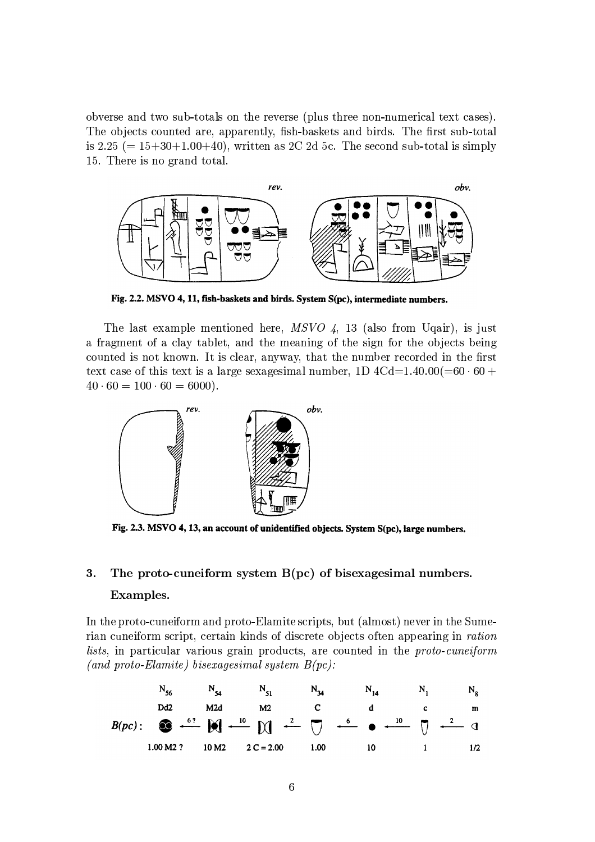obverse and two sub-totals on the reverse (plus three non-numerical text cases). The objects counted are, apparently, fish-baskets and birds. The first sub-total is 2.25 ( $= 15+30+1.00+40$ ), written as 2C 2d 5c. The second sub-total is simply 15. There is no grand total.



Fig. 2.2. MSVO 4, 11, fish-baskets and birds. System S(pc), intermediate numbers.

The last example mentioned here,  $MSVO$  4, 13 (also from Uqair), is just a fragment of a clay tablet, and the meaning of the sign for the objects being counted is not known. It is clear, anyway, that the number recorded in the first text case of this text is a large sexagesimal number, 1D  $4Cd=1.40.00(=60.60 +$  $40 \cdot 60 = 100 \cdot 60 = 6000$ .



Fig. 2.3. MSVO 4, 13, an account of unidentified objects. System S(pc), large numbers.

# 3. The proto-cuneiform system  $B(pc)$  of bisexagesimal numbers. Examples.

In the proto-cuneiform and proto-Elamite scripts, but (almost) never in the Sumerian cuneiform script, certain kinds of discrete objects often appearing in *ration* lists, in particular various grain products, are counted in the proto-cuneiform (and proto-Elamite) bisexagesimal system  $B(pc)$ :

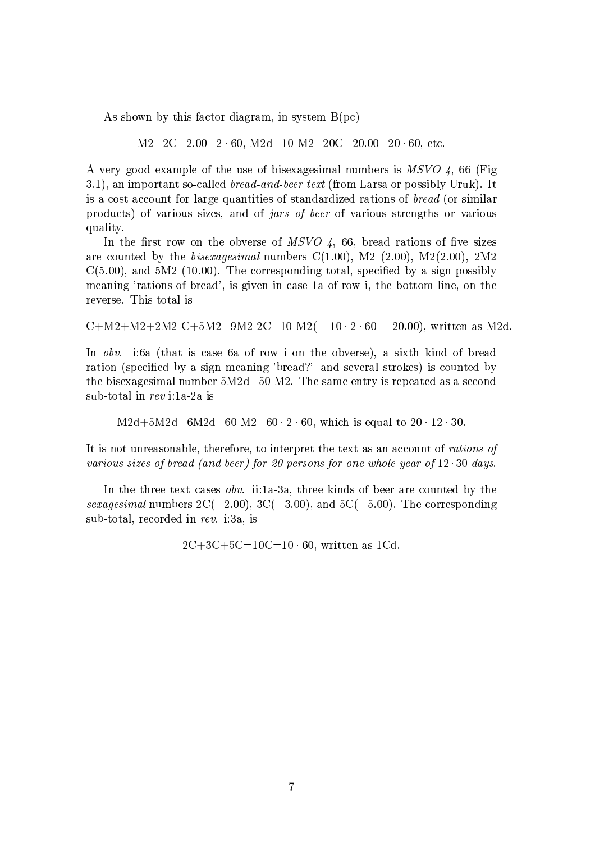As shown by this factor diagram, in system  $B(pc)$ 

 $M2=2C=2.00=2.60$ ,  $M2d=10$   $M2=20C=20.00=20.60$ , etc.

A very good example of the use of bisexagesimal numbers is MSVO 4, 66 (Fig. 3.1), an important so-called *bread-and-beer text* (from Larsa or possibly Uruk). It is a cost account for large quantities of standardized rations of bread (or similar products) of various sizes, and of *jars of beer* of various strengths or various quality.

In the first row on the obverse of  $MSVO$  4, 66, bread rations of five sizes are counted by the *bisexagesimal* numbers  $C(1.00)$ , M2  $(2.00)$ , M2 $(2.00)$ , 2M2  $C(5.00)$ , and  $5M2$  (10.00). The corresponding total, specified by a sign possibly meaning 'rations of bread', is given in case 1a of row i, the bottom line, on the reverse. This total is

C+M2+M2+2M2 C+5M2=9M2 2C=10 M2(=  $10 \cdot 2 \cdot 60 = 20.00$ ), written as M2d.

In obv. i:6a (that is case 6a of row i on the obverse), a sixth kind of bread ration (specified by a sign meaning 'bread?' and several strokes) is counted by the bisexagesimal number  $5M2d=50$  M2. The same entry is repeated as a second sub-total in  $rev$  i:1a-2a is

 $M2d+5M2d=6M2d=60$   $M2=60 \cdot 2 \cdot 60$ , which is equal to  $20 \cdot 12 \cdot 30$ .

It is not unreasonable, therefore, to interpret the text as an account of rations of various sizes of bread (and beer) for 20 persons for one whole year of 12 30 days.

In the three text cases *obv.* ii:1a-3a, three kinds of beer are counted by the sexagesimal numbers  $2C(=2.00)$ ,  $3C(=3.00)$ , and  $5C(=5.00)$ . The corresponding sub-total, recorded in rev. i:3a, is

 $2C+3C+5C=10C=10.60$ , written as 1Cd.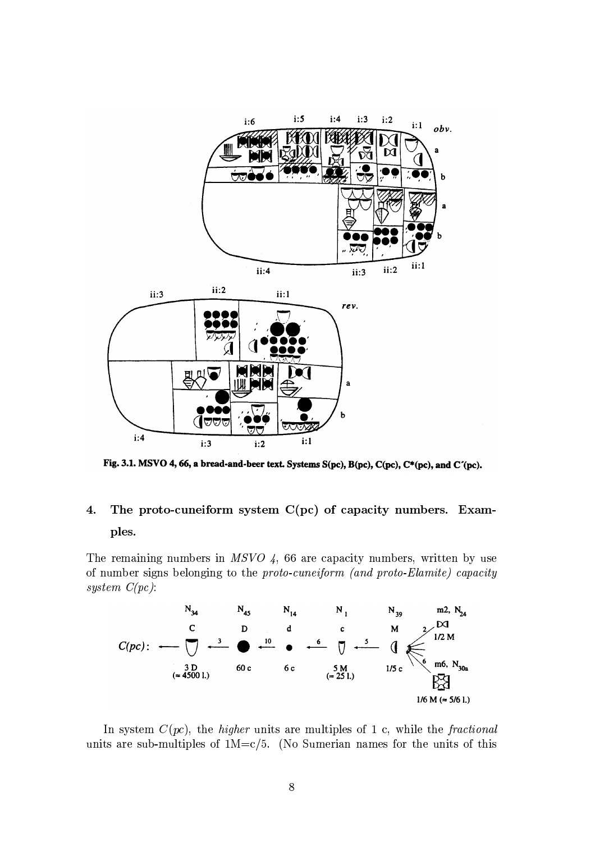

Fig. 3.1. MSVO 4, 66, a bread-and-beer text. Systems S(pc), B(pc), C(pc), C\*(pc), and C'(pc).

# The proto-cuneiform system  $C(pc)$  of capacity numbers. Exam- $\overline{4}$ . ples.

The remaining numbers in  $MSVO$  4, 66 are capacity numbers, written by use of number signs belonging to the proto-cuneiform (and proto-Elamite) capacity system  $C(pc)$ :



In system  $C(pc)$ , the *higher* units are multiples of 1 c, while the *fractional* units are sub-multiples of  $1M = c/5$ . (No Sumerian names for the units of this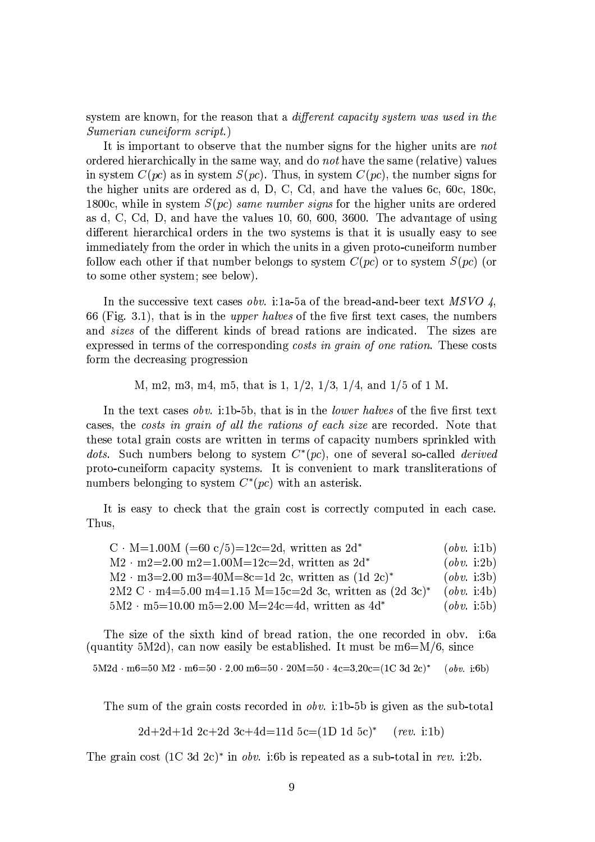system are known, for the reason that a different capacity system was used in the *Sumerian cuneiform script.*)

It is important to observe that the number signs for the higher units are not ordered hierarchically in the same way, and do not have the same (relative) values in system  $C(pc)$  as in system  $S(pc)$ . Thus, in system  $C(pc)$ , the number signs for the higher units are ordered as d, D, C, Cd, and have the values 6c, 60c, 180c, 1800c, while in system  $S(pc)$  same number signs for the higher units are ordered as d, C, Cd, D, and have the values 10, 60, 600, 3600. The advantage of using different hierarchical orders in the two systems is that it is usually easy to see immediately from the order in which the units in a given proto-cuneiform number follow each other if that number belongs to system  $C(pc)$  or to system  $S(pc)$  (or to some other system; see below).

In the successive text cases *obv.* i:1a-5a of the bread-and-beer text MSVO 4, 66 (Fig. 3.1), that is in the *upper halves* of the five first text cases, the numbers and *sizes* of the different kinds of bread rations are indicated. The sizes are expressed in terms of the corresponding costs in grain of one ration. These costs form the decreasing progression

M, m2, m3, m4, m5, that is 1,  $1/2$ ,  $1/3$ ,  $1/4$ , and  $1/5$  of 1 M.

In the text cases obv. i:1b-5b, that is in the *lower halves* of the five first text cases, the costs in grain of all the rations of each size are recorded. Note that these total grain costs are written in terms of capacity numbers sprinkled with *dots.* Such numbers belong to system  $C^*(pc)$ , one of several so-called *derived* proto-cuneiform capacity systems. It is convenient to mark transliterations of numbers belonging to system  $C^*(pc)$  with an asterisk.

It is easy to check that the grain cost is correctly computed in each case. Thus,

| $C \cdot M=1.00M$ (=60 c/5)=12c=2d, written as 2d <sup>*</sup>                                         | (obv. i:1b) |
|--------------------------------------------------------------------------------------------------------|-------------|
| $M2 \cdot m2 = 2.00 \text{ m}2 = 1.00 \text{M} = 12 \text{c} = 2 \text{d}$ , written as $2 \text{d}^*$ | (obv. i:2b) |
| $M2 \cdot m3 = 2.00 \text{ m}3 = 40M = 8c = 1d$ 2c, written as $(1d 2c)^*$                             | (obv. i:3b) |
| 2M2 C · m4=5.00 m4=1.15 M=15c=2d 3c, written as $(2d \ 3c)^*$                                          | (obv. i:4b) |
| $5M2 \cdot m5 = 10.00 m5 = 2.00 M = 24c = 4d$ , written as $4d^*$                                      | (obv. i:5b) |

The size of the sixth kind of bread ration, the one recorded in obv. i:6a (quantity 5M2d), can now easily be established. It must be  $m6=M/6$ , since

$$
5M2d \cdot m6 = 50 M2 \cdot m6 = 50 \cdot 2.00 m6 = 50 \cdot 20M = 50 \cdot 4c = 3.20c = (1C \cdot 3d \cdot 2c)^* \quad (obv. \text{ i:}6b)
$$

The sum of the grain costs recorded in *obv.* i:1b-5b is given as the sub-total

 $2d+2d+1d$   $2c+2d$   $3c+4d=11d$   $5c=(1D 1d 5c)^*$  $(rev. i:1b)$ 

The grain cost  $(1C \t3d \t2c)^*$  in *obv.* i:6b is repeated as a sub-total in rev. i:2b.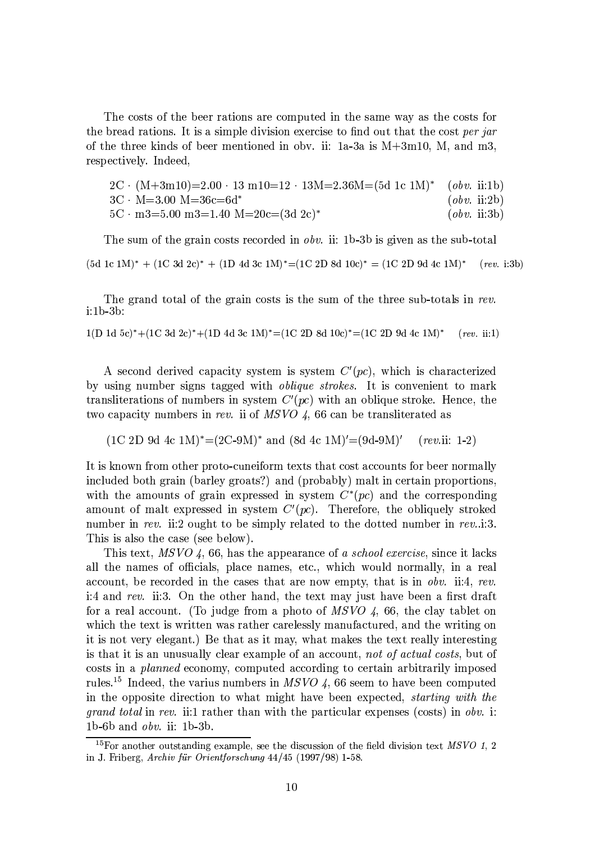The costs of the beer rations are computed in the same way as the costs for the bread rations. It is a simple division exercise to find out that the cost per jar of the three kinds of beer mentioned in obv. ii:  $1a-3a$  is  $M+3m10$ , M, and m3, respectively. Indeed,

$$
2C \cdot (M+3m10)=2.00 \cdot 13 \text{ m10}=12 \cdot 13M=2.36M=(5d \text{ 1c } 1M)^* \text{ (}obv. ii:1b)
$$
  
\n
$$
3C \cdot M=3.00 \text{ M}=36c=6d^*
$$
 (obv. ii:2b)  
\n
$$
5C \cdot m3=5.00 \text{ m3}=1.40 \text{ M}=20c=(3d \text{ 2c})^*
$$
 (obv. ii:3b)

The sum of the grain costs recorded in *obv.* ii: 1b-3b is given as the sub-total

 $(5d \text{ 1c} 1M)^* + (1C \text{ 3d} 2c)^* + (1D \text{ 4d} 3c \text{ 1M})^* = (1C \text{ 2D} 8d \text{ 10c})^* = (1C \text{ 2D} 9d \text{ 4c} 1M)^*$  $(rev. i:3b)$ 

The grand total of the grain costs is the sum of the three sub-totals in rev. i:1b-3b:

 $1(D \t1d \t5c)^* + (1C \t3d \t2c)^* + (1D \t4d \t3c \t1M)^* = (1C \t2D \t8d \t10c)^* = (1C \t2D \t9d \t4c \t1M)^*$  $(rev. ii:1)$ 

A second derived capacity system is system  $C'(pc)$ , which is characterized by using number signs tagged with *oblique strokes*. It is convenient to mark transliterations of numbers in system  $C'(pc)$  with an oblique stroke. Hence, the two capacity numbers in rev. ii of MSVO 4, 66 can be transliterated as

 $(1C 2D 9d 4c 1M)^* = (2C-9M)^*$  and  $(8d 4c 1M)' = (9d-9M)'$  $(rev.ii: 1-2)$ 

It is known from other proto-cuneiform texts that cost accounts for beer normally included both grain (barley groats?) and (probably) malt in certain proportions, with the amounts of grain expressed in system  $C^*(pc)$  and the corresponding amount of malt expressed in system  $C'(pc)$ . Therefore, the obliquely stroked number in rev. ii:2 ought to be simply related to the dotted number in rev..i:3. This is also the case (see below).

This text, MSVO 4, 66, has the appearance of a school exercise, since it lacks all the names of officials, place names, etc., which would normally, in a real account, be recorded in the cases that are now empty, that is in obv. ii:4, rev. i:4 and rev. ii:3. On the other hand, the text may just have been a first draft for a real account. (To judge from a photo of  $MSVO$  4, 66, the clay tablet on which the text is written was rather carelessly manufactured, and the writing on it is not very elegant.) Be that as it may, what makes the text really interesting is that it is an unusually clear example of an account, not of actual costs, but of costs in a *planned* economy, computed according to certain arbitrarily imposed rules.<sup>15</sup> Indeed, the varius numbers in MSVO 4, 66 seem to have been computed in the opposite direction to what might have been expected, *starting with the grand total* in rev. ii:1 rather than with the particular expenses (costs) in *obv.* i: 1b-6b and  $obv$ . ii: 1b-3b.

<sup>&</sup>lt;sup>15</sup>For another outstanding example, see the discussion of the field division text *MSVO* 1, 2 in J. Friberg, Archiv für Orientforschung 44/45 (1997/98) 1-58.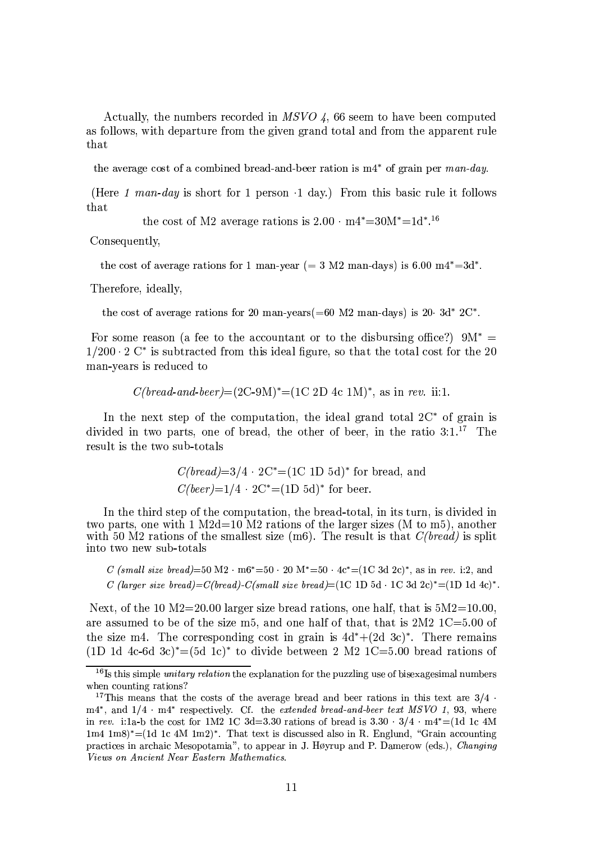Actually, the numbers recorded in MSVO 4, 66 seem to have been computed as follows, with departure from the given grand total and from the apparent rule that

the average cost of a combined bread-and-beer ration is  $m4^*$  of grain per man-day.

(Here 1 man-day is short for 1 person  $\cdot$  1 day.) From this basic rule it follows that

the cost of M2 average rations is  $2.00 \cdot m4^* = 30M^* = 1d^{*}.$ <sup>16</sup>

Consequently,

the cost of average rations for 1 man-year (= 3 M2 man-days) is 6.00 m4\*=3d\*.

Therefore, ideally,

the cost of average rations for 20 man-years(=60 M2 man-days) is 20  $3d^*$  2C<sup>\*</sup>.

For some reason (a fee to the accountant or to the disbursing office?)  $9M^* =$  $1/200 \cdot 2$  C<sup>\*</sup> is subtracted from this ideal figure, so that the total cost for the 20 man-years is reduced to

 $C(bread-and-beer) = (2C-9M)^* = (1C 2D 4c 1M)^*$ , as in rev. ii:1.

In the next step of the computation, the ideal grand total  $2C^*$  of grain is divided in two parts, one of bread, the other of beer, in the ratio  $3:1.^{17}$  The result is the two sub-totals

$$
C(bread)=3/4 \cdot 2C^* = (1C 1D 5d)^*
$$
 for bread, and  
 $C(beer)=1/4 \cdot 2C^* = (1D 5d)^*$  for beer.

In the third step of the computation, the bread-total, in its turn, is divided in two parts, one with 1 M2d=10 M2 rations of the larger sizes (M to m5), another with 50 M2 rations of the smallest size (m6). The result is that  $C(bread)$  is split into two new sub-totals

C (small size bread)=50 M2  $\cdot$  m6\*=50  $\cdot$  20 M\*=50  $\cdot$  4c\*=(1C 3d 2c)\*, as in rev. i:2, and C (larger size bread)=C(bread)-C(small size bread)=(1C 1D 5d · 1C 3d 2c)\*=(1D 1d 4c)\*.

Next, of the 10 M2=20.00 larger size bread rations, one half, that is  $5M2=10.00$ . are assumed to be of the size m5, and one half of that, that is  $2M2$  1C=5.00 of the size m4. The corresponding cost in grain is  $4d^* + (2d \ 3c)^*$ . There remains (1D 1d 4c-6d 3c)<sup>\*</sup>=(5d 1c)<sup>\*</sup> to divide between 2 M2 1C=5.00 bread rations of

<sup>&</sup>lt;sup>16</sup>Is this simple *unitary relation* the explanation for the puzzling use of bisexagesimal numbers when counting rations?

<sup>&</sup>lt;sup>17</sup>This means that the costs of the average bread and beer rations in this text are  $3/4$ .  $m4^*$ , and  $1/4 \cdot m4^*$  respectively. Cf. the extended bread-and-beer text MSVO 1, 93, where in rev. i:1a-b the cost for 1M2 1C 3d=3.30 rations of bread is  $3.30 \cdot 3/4 \cdot m4^* = (1d \cdot 1c \cdot 4M)$  $1m4 \text{ 1m8}$ <sup>\*</sup>=(1d 1c 4M 1m2)<sup>\*</sup>. That text is discussed also in R. Englund, "Grain accounting practices in archaic Mesopotamia", to appear in J. Høyrup and P. Damerow (eds.), Changing Views on Ancient Near Eastern Mathematics.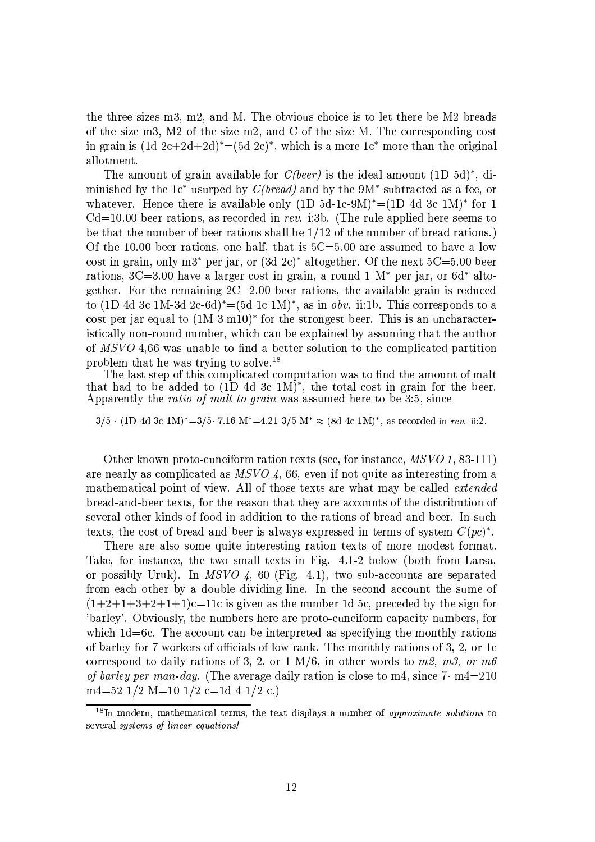the three sizes  $m3$ ,  $m2$ , and M. The obvious choice is to let there be M2 breads of the size m3, M2 of the size m2, and C of the size M. The corresponding cost in grain is  $(1d 2c+2d+2d)^* = (5d 2c)^*$ , which is a mere 1c<sup>\*</sup> more than the original allotment.

The amount of grain available for  $C(beer)$  is the ideal amount  $(1D\ 5d)^*$ , diminished by the 1c<sup>\*</sup> usurped by  $C(bread)$  and by the 9M<sup>\*</sup> subtracted as a fee, or whatever. Hence there is available only (1D 5d-1c-9M)\*=(1D 4d 3c 1M)\* for 1  $Cd=10.00$  beer rations, as recorded in rev. i:3b. (The rule applied here seems to be that the number of beer rations shall be  $1/12$  of the number of bread rations.) Of the 10.00 beer rations, one half, that is  $5C = 5.00$  are assumed to have a low cost in grain, only m<sup>3\*</sup> per jar, or  $(3d\ 2c)^*$  altogether. Of the next  $5C=5.00$  been rations,  $3C=3.00$  have a larger cost in grain, a round 1  $M^*$  per jar, or 6d<sup>\*</sup> altogether. For the remaining  $2C=2.00$  beer rations, the available grain is reduced to (1D 4d 3c 1M-3d 2c-6d)<sup>\*</sup>=(5d 1c 1M)<sup>\*</sup>, as in *obv.* ii:1b. This corresponds to a cost per jar equal to  $(1M 3 \text{ m}10)^*$  for the strongest beer. This is an uncharacteristically non-round number, which can be explained by assuming that the author of MSVO 4.66 was unable to find a better solution to the complicated partition problem that he was trying to solve.<sup>18</sup>

The last step of this complicated computation was to find the amount of malt that had to be added to  $(1D \t{4d} \t{3c} \t{1M})^*$ , the total cost in grain for the beer. Apparently the *ratio of malt to grain* was assumed here to be 3:5, since

 $3/5 \cdot (1D \text{ 4d } 3c \text{ 1M})^* = 3/5 \cdot 7.16 \text{ M}^* = 4.21 \frac{3}{5} \text{ M}^* \approx (8d \text{ 4c } 1\text{M})^*$ , as recorded in rev. ii:2.

Other known proto-cuneiform ration texts (see, for instance, MSVO 1, 83-111) are nearly as complicated as  $MSVO$  4, 66, even if not quite as interesting from a mathematical point of view. All of those texts are what may be called *extended* bread-and-beer texts, for the reason that they are accounts of the distribution of several other kinds of food in addition to the rations of bread and beer. In such texts, the cost of bread and beer is always expressed in terms of system  $C(pc)^*$ .

There are also some quite interesting ration texts of more modest format. Take, for instance, the two small texts in Fig. 4.1-2 below (both from Larsa, or possibly Uruk). In MSVO 4, 60 (Fig. 4.1), two sub-accounts are separated from each other by a double dividing line. In the second account the sume of  $(1+2+1+3+2+1+1)c=11c$  is given as the number 1d 5c, preceded by the sign for 'barley'. Obviously, the numbers here are proto-cuneiform capacity numbers, for which  $1d=6c$ . The account can be interpreted as specifying the monthly rations of barley for 7 workers of officials of low rank. The monthly rations of 3, 2, or 1c correspond to daily rations of 3, 2, or 1 M/6, in other words to m2, m3, or m6 of barley per man-day. (The average daily ration is close to m4, since  $7 \cdot m4 = 210$ m4=52 1/2 M=10 1/2 c=1d 4 1/2 c.)

<sup>&</sup>lt;sup>18</sup>In modern, mathematical terms, the text displays a number of *approximate solutions* to several systems of linear equations!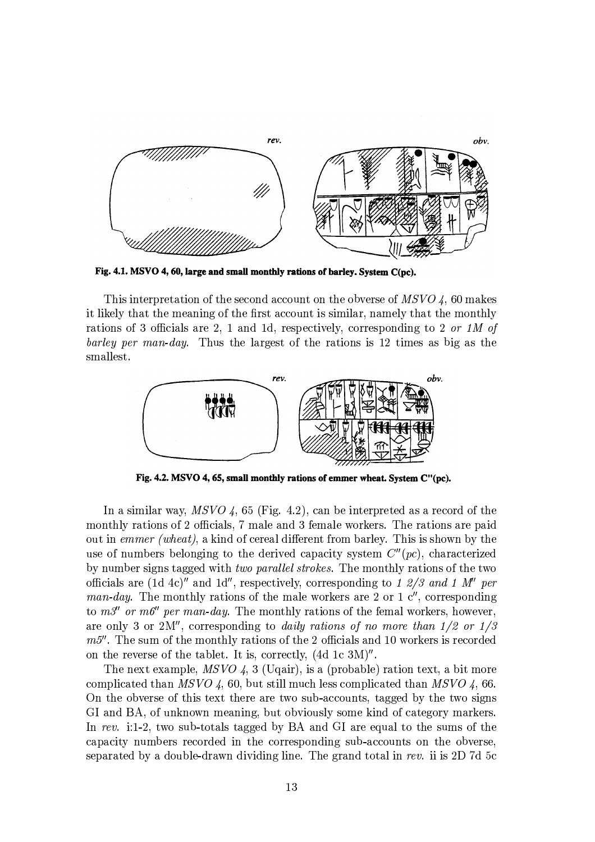

Fig. 4.1. MSVO 4, 60, large and small monthly rations of barley. System C(pc).

This interpretation of the second account on the obverse of  $MSVO$  4, 60 makes it likely that the meaning of the first account is similar, namely that the monthly rations of 3 officials are 2, 1 and 1d, respectively, corresponding to 2 or 1M of barley per man-day. Thus the largest of the rations is 12 times as big as the smallest.



Fig. 4.2. MSVO 4, 65, small monthly rations of emmer wheat. System C"(pc).

In a similar way, MSVO 4, 65 (Fig. 4.2), can be interpreted as a record of the monthly rations of 2 officials, 7 male and 3 female workers. The rations are paid out in emmer (wheat), a kind of cereal different from barley. This is shown by the use of numbers belonging to the derived capacity system  $C''(pc)$ , characterized by number signs tagged with *two parallel strokes*. The monthly rations of the two officials are (1d 4c)" and 1d", respectively, corresponding to 1 2/3 and 1 M" per man-day. The monthly rations of the male workers are 2 or 1  $c''$ , corresponding to  $m3''$  or  $m6''$  per man-day. The monthly rations of the femal workers, however, are only 3 or 2M", corresponding to daily rations of no more than  $1/2$  or  $1/3$  $m5$ ". The sum of the monthly rations of the 2 officials and 10 workers is recorded on the reverse of the tablet. It is, correctly, (4d 1c 3M)".

The next example,  $MSVO$  4, 3 (Uqair), is a (probable) ration text, a bit more complicated than MSVO 4, 60, but still much less complicated than MSVO 4, 66. On the obverse of this text there are two sub-accounts, tagged by the two signs GI and BA, of unknown meaning, but obviously some kind of category markers. In rev. i:1-2, two sub-totals tagged by BA and GI are equal to the sums of the capacity numbers recorded in the corresponding sub-accounts on the obverse, separated by a double-drawn dividing line. The grand total in rev. ii is 2D 7d 5c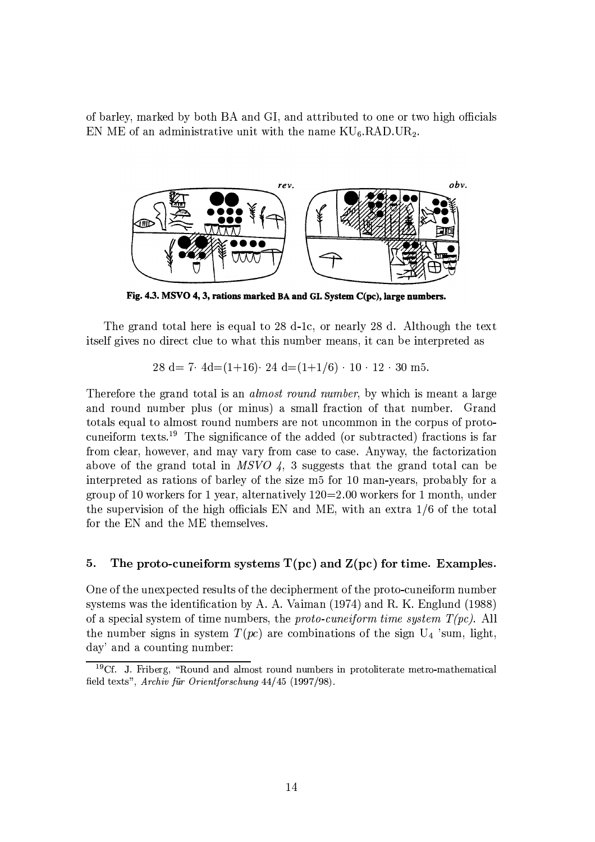of barley, marked by both BA and GI, and attributed to one or two high officials EN ME of an administrative unit with the name  $\rm{KU_6.RAD.UR_2}.$ 



Fig. 4.3. MSVO 4, 3, rations marked BA and GI. System C(pc), large numbers.

The grand total here is equal to 28 d-1c, or nearly 28 d. Although the text itself gives no direct clue to what this number means, it can be interpreted as

28 d = 7 · 4d =  $(1+16)$  · 24 d =  $(1+1/6)$  · 10 · 12 · 30 m 5.

Therefore the grand total is an *almost round number*, by which is meant a large and round number plus (or minus) a small fraction of that number. Grand totals equal to almost round numbers are not uncommon in the corpus of protocuneiform texts.<sup>19</sup> The significance of the added (or subtracted) fractions is far from clear, however, and may vary from case to case. Anyway, the factorization above of the grand total in MSVO 4, 3 suggests that the grand total can be interpreted as rations of barley of the size m5 for 10 man-years, probably for a group of 10 workers for 1 year, alternatively  $120=2.00$  workers for 1 month, under the supervision of the high officials EN and ME, with an extra 1/6 of the total for the EN and the ME themselves.

#### The proto-cuneiform systems  $T(pc)$  and  $Z(pc)$  for time. Examples. 5.

One of the unexpected results of the decipherment of the proto-cuneiform number systems was the identification by A. A. Vaiman (1974) and R. K. Englund (1988) of a special system of time numbers, the *proto-cuneiform time system*  $T(pc)$ . All the number signs in system  $T(pc)$  are combinations of the sign  $U_4$  'sum, light, day' and a counting number:

 $19Cf$ . J. Friberg, "Round and almost round numbers in protoliterate metro-mathematical field texts", Archiv für Orientforschung 44/45 (1997/98).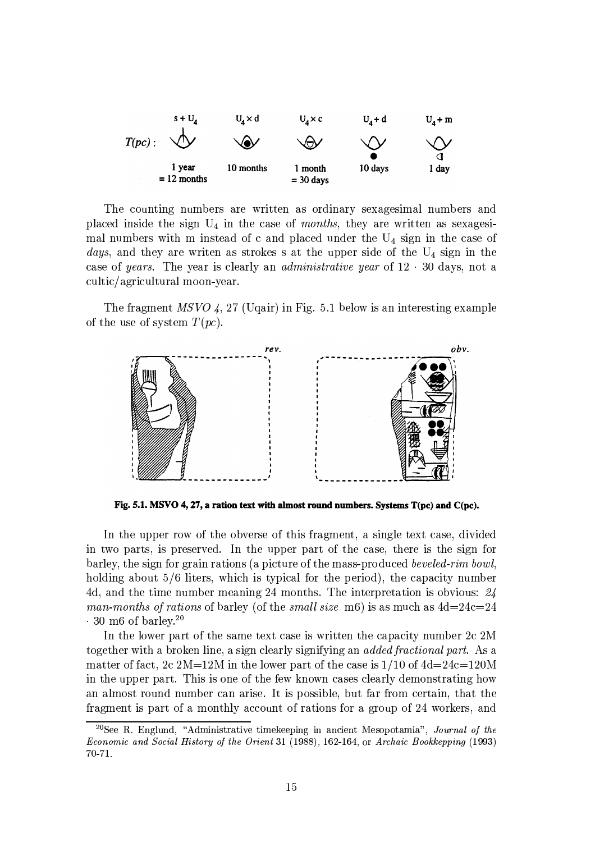

The counting numbers are written as ordinary sexagesimal numbers and placed inside the sign  $U_4$  in the case of months, they are written as sexagesimal numbers with m instead of c and placed under the  $U_4$  sign in the case of days, and they are writen as strokes s at the upper side of the  $U_4$  sign in the case of years. The year is clearly an *administrative year* of  $12 \cdot 30$  days, not a cultic/agricultural moon-year.

The fragment  $MSVO$  4, 27 (Uqair) in Fig. 5.1 below is an interesting example of the use of system  $T(pc)$ .



Fig. 5.1. MSVO 4, 27, a ration text with almost round numbers. Systems  $T(pc)$  and  $C(pc)$ .

In the upper row of the obverse of this fragment, a single text case, divided in two parts, is preserved. In the upper part of the case, there is the sign for barley, the sign for grain rations (a picture of the mass-produced beveled-rim bowl, holding about 5/6 liters, which is typical for the period), the capacity number 4d, and the time number meaning 24 months. The interpretation is obvious:  $24$ man-months of rations of barley (of the small size m6) is as much as  $4d=24c=24$  $\cdot$  30 m6 of barley.<sup>20</sup>

In the lower part of the same text case is written the capacity number 2c 2M together with a broken line, a sign clearly signifying an *added fractional part*. As a matter of fact, 2c  $2M=12M$  in the lower part of the case is  $1/10$  of  $4d=24c=120M$ in the upper part. This is one of the few known cases clearly demonstrating how an almost round number can arise. It is possible, but far from certain, that the fragment is part of a monthly account of rations for a group of 24 workers, and

<sup>&</sup>lt;sup>20</sup>See R. Englund, "Administrative timekeeping in ancient Mesopotamia", Journal of the Economic and Social History of the Orient 31 (1988), 162-164, or Archaic Bookkepping (1993) 70-71.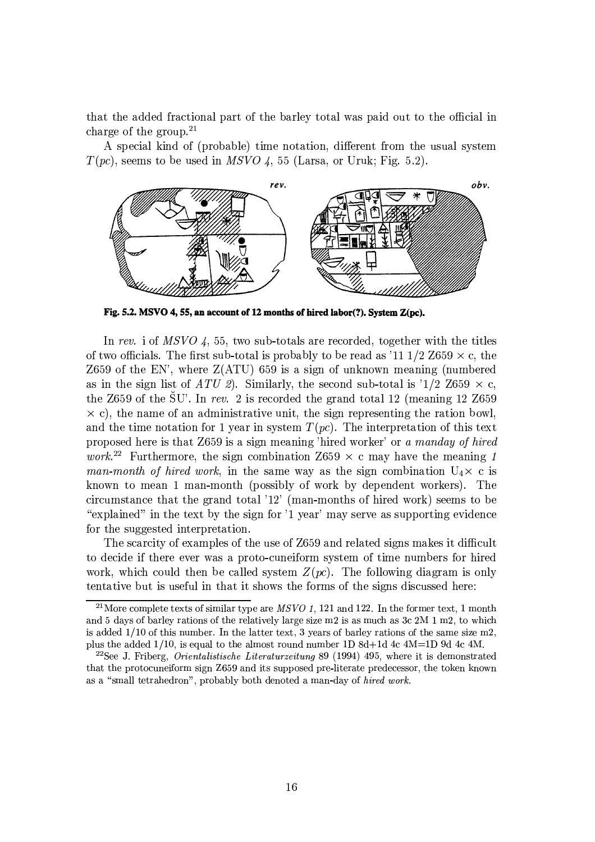that the added fractional part of the barley total was paid out to the official in charge of the group.<sup>21</sup>

A special kind of (probable) time notation, different from the usual system  $T(pc)$ , seems to be used in MSVO 4, 55 (Larsa, or Uruk; Fig. 5.2).



Fig. 5.2. MSVO 4, 55, an account of 12 months of hired labor(?). System Z(pc).

In rev. i of MSVO 4, 55, two sub-totals are recorded, together with the titles of two officials. The first sub-total is probably to be read as '11 1/2 Z659  $\times$  c, the Z659 of the EN', where  $Z(ATU)$  659 is a sign of unknown meaning (numbered as in the sign list of ATU 2). Similarly, the second sub-total is '1/2 Z659  $\times$  c, the Z659 of the SU'. In rev. 2 is recorded the grand total 12 (meaning 12 Z659  $\times$  c), the name of an administrative unit, the sign representing the ration bowl, and the time notation for 1 year in system  $T(pc)$ . The interpretation of this text proposed here is that Z659 is a sign meaning 'hired worker' or a manday of hired *work*.<sup>22</sup> Furthermore, the sign combination Z659  $\times$  c may have the meaning 1 man-month of hired work, in the same way as the sign combination  $U_4 \times c$  is known to mean 1 man-month (possibly of work by dependent workers). The circumstance that the grand total '12' (man-months of hired work) seems to be "explained" in the text by the sign for '1 year' may serve as supporting evidence for the suggested interpretation.

The scarcity of examples of the use of Z659 and related signs makes it difficult to decide if there ever was a proto-cuneiform system of time numbers for hired work, which could then be called system  $Z(pc)$ . The following diagram is only tentative but is useful in that it shows the forms of the signs discussed here:

<sup>&</sup>lt;sup>21</sup>More complete texts of similar type are *MSVO* 1, 121 and 122. In the former text, 1 month and 5 days of barley rations of the relatively large size m2 is as much as 3c 2M 1 m2, to which is added  $1/10$  of this number. In the latter text, 3 years of barley rations of the same size m2, plus the added  $1/10$ , is equal to the almost round number 1D 8d+1d 4c 4M=1D 9d 4c 4M.

<sup>&</sup>lt;sup>22</sup>See J. Friberg, *Orientalistische Literaturzeitung* 89 (1994) 495, where it is demonstrated that the protocuneiform sign Z659 and its supposed pre-literate predecessor, the token known as a "small tetrahedron", probably both denoted a man-day of hired work.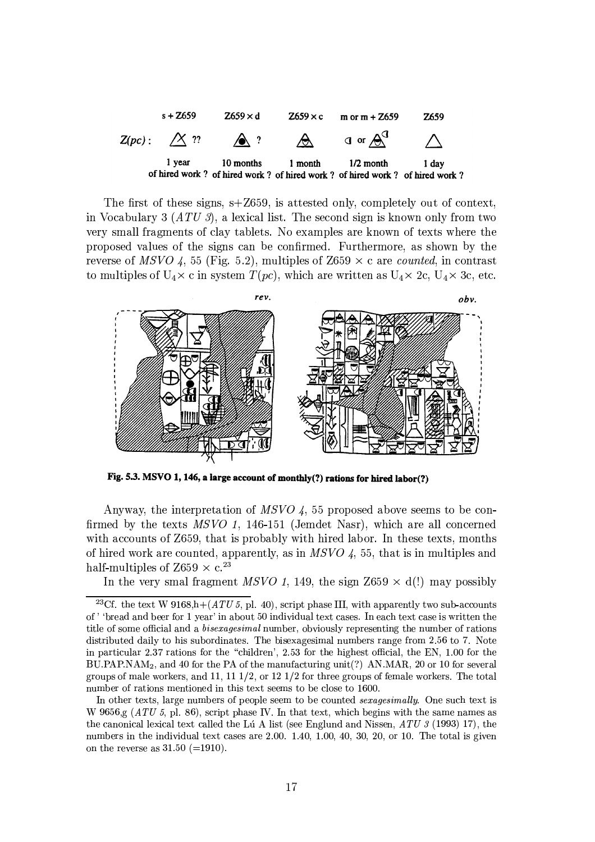

The first of these signs,  $s + Z659$ , is attested only, completely out of context. in Vocabulary 3 (ATU 3), a lexical list. The second sign is known only from two very small fragments of clay tablets. No examples are known of texts where the proposed values of the signs can be confirmed. Furthermore, as shown by the reverse of MSVO 4, 55 (Fig. 5.2), multiples of Z659  $\times$  c are *counted*, in contrast to multiples of  $U_4 \times c$  in system  $T(pc)$ , which are written as  $U_4 \times 2c$ ,  $U_4 \times 3c$ , etc.



Fig. 5.3. MSVO 1, 146, a large account of monthly(?) rations for hired labor(?)

Anyway, the interpretation of MSVO 4, 55 proposed above seems to be confirmed by the texts MSVO 1, 146-151 (Jemdet Nasr), which are all concerned with accounts of Z659, that is probably with hired labor. In these texts, months of hired work are counted, apparently, as in  $MSVO$  4, 55, that is in multiples and half-multiples of Z659  $\times$  c.<sup>23</sup>

In the very smal fragment MSVO 1, 149, the sign Z659  $\times$  d(!) may possibly

<sup>&</sup>lt;sup>23</sup>Cf. the text W 9168,h+ $(ATU 5, p1. 40)$ , script phase III, with apparently two sub-accounts of ' 'bread and beer for 1 year' in about 50 individual text cases. In each text case is written the title of some official and a *bisexagesimal* number, obviously representing the number of rations distributed daily to his subordinates. The bisexagesimal numbers range from 2.56 to 7. Note in particular 2.37 rations for the "children', 2.53 for the highest official, the EN, 1.00 for the  $BU.PAP.NAM<sub>2</sub>$ , and 40 for the PA of the manufacturing unit(?) AN.MAR, 20 or 10 for several groups of male workers, and 11, 11  $1/2$ , or 12  $1/2$  for three groups of female workers. The total number of rations mentioned in this text seems to be close to 1600.

In other texts, large numbers of people seem to be counted *sexagesimally*. One such text is W 9656,g  $(ATU\,5, \mathrm{pl.} 86)$ , script phase IV. In that text, which begins with the same names as the canonical lexical text called the Lú A list (see Englund and Nissen,  $ATU$  3 (1993) 17), the numbers in the individual text cases are 2.00. 1.40, 1.00, 40, 30, 20, or 10. The total is given on the reverse as  $31.50$  (=1910).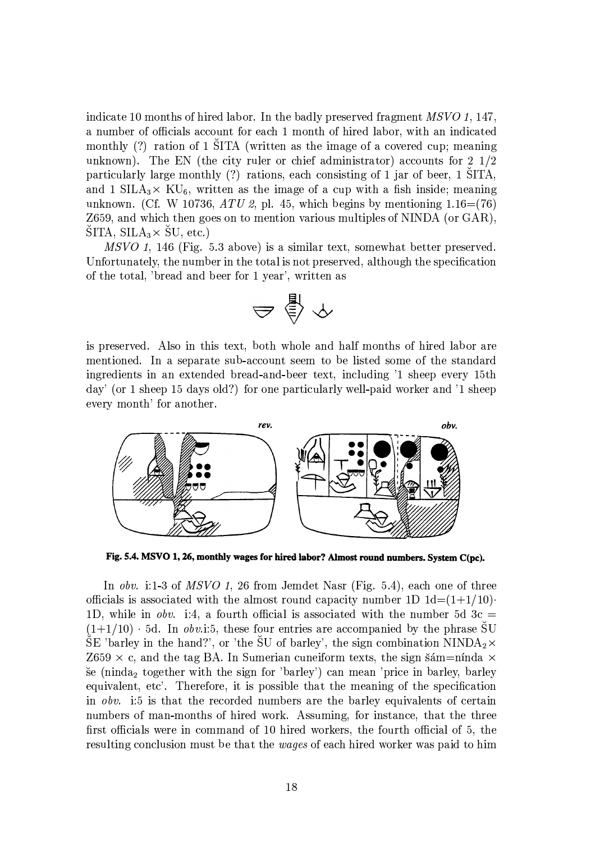indicate 10 months of hired labor. In the badly preserved fragment MSVO 1, 147, a number of officials account for each 1 month of hired labor, with an indicated monthly (?) ration of 1 SITA (written as the image of a covered cup; meaning unknown). The EN (the city ruler or chief administrator) accounts for  $2\frac{1}{2}$ particularly large monthly (?) rations, each consisting of 1 jar of beer, 1 SITA, and 1 SILA<sub>3</sub> $\times$  KU<sub>6</sub>, written as the image of a cup with a fish inside; meaning unknown. (Cf. W 10736, ATU 2, pl. 45, which begins by mentioning  $1.16=(76)$ Z659, and which then goes on to mention various multiples of NINDA (or GAR),  $\text{SITA}, \, \text{SILA}_3 \times \text{SU}, \, \text{etc.}$ 

MSVO 1, 146 (Fig. 5.3 above) is a similar text, somewhat better preserved. Unfortunately, the number in the total is not preserved, although the specification of the total, 'bread and beer for 1 year', written as

$$
\Rightarrow \mathop{\underline{\oplus}}^{\mathop{\rm l\negthinspace\bullet}} \rightsquigarrow
$$

is preserved. Also in this text, both whole and half months of hired labor are mentioned. In a separate sub-account seem to be listed some of the standard ingredients in an extended bread-and-beer text, including '1 sheep every 15th day' (or 1 sheep 15 days old?) for one particularly well-paid worker and '1 sheep every month' for another.



Fig. 5.4. MSVO 1, 26, monthly wages for hired labor? Almost round numbers. System C(pc).

In *obv.* i:1-3 of *MSVO 1*, 26 from Jemdet Nasr (Fig. 5.4), each one of three officials is associated with the almost round capacity number 1D  $1d=(1+1/10)$ . 1D, while in *obv.* i:4, a fourth official is associated with the number 5d 3c =  $(1+1/10) \cdot 5d$ . In *obv.i.*5, these four entries are accompanied by the phrase SU  $\tilde{\rm SE}$  'barley in the hand?', or 'the  $\tilde{\rm SU}$  of barley', the sign combination NINDA<sub>2</sub>×  $Z659 \times c$ , and the tag BA. In Sumerian cuneiform texts, the sign sam=ninda  $\times$ se (ninda<sub>2</sub> together with the sign for 'barley') can mean 'price in barley, barley equivalent, etc'. Therefore, it is possible that the meaning of the specification in *obv.* i:5 is that the recorded numbers are the barley equivalents of certain numbers of man-months of hired work. Assuming, for instance, that the three first officials were in command of 10 hired workers, the fourth official of 5, the resulting conclusion must be that the *wages* of each hired worker was paid to him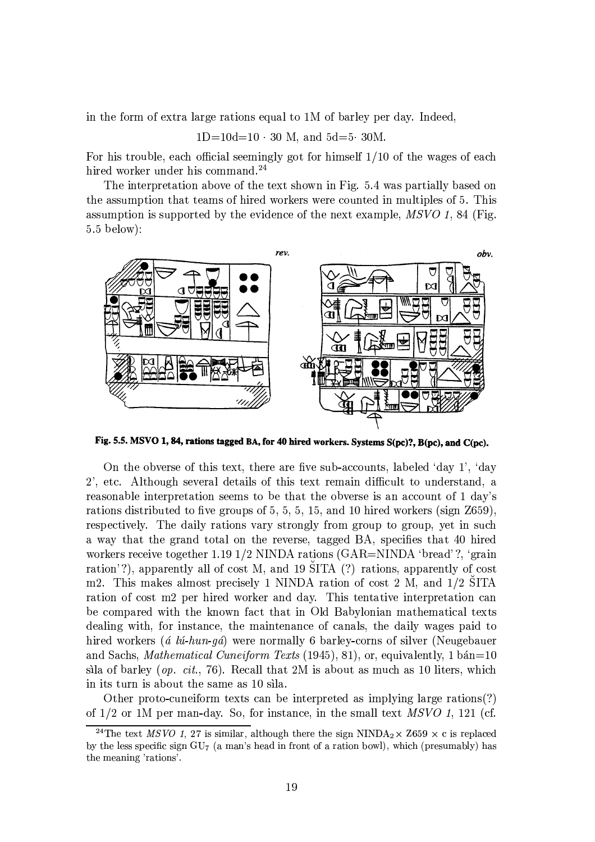in the form of extra large rations equal to 1M of barley per day. Indeed,

$$
1D=10d=10 \cdot 30
$$
 M, and  $5d=5 \cdot 30M$ .

For his trouble, each official seemingly got for himself  $1/10$  of the wages of each hired worker under his command.<sup>24</sup>

The interpretation above of the text shown in Fig. 5.4 was partially based on the assumption that teams of hired workers were counted in multiples of 5. This assumption is supported by the evidence of the next example,  $MSVO$  1, 84 (Fig.  $5.5$  below):



Fig. 5.5. MSVO 1, 84, rations tagged BA, for 40 hired workers. Systems S(pc)?, B(pc), and C(pc).

On the obverse of this text, there are five sub-accounts, labeled 'day 1', 'day 2', etc. Although several details of this text remain difficult to understand, a reasonable interpretation seems to be that the obverse is an account of 1 day's rations distributed to five groups of 5, 5, 5, 15, and 10 hired workers (sign  $Z$ 659), respectively. The daily rations vary strongly from group to group, yet in such a way that the grand total on the reverse, tagged BA, specifies that 40 hired workers receive together 1.19 1/2 NINDA rations  $(GAR=NINDA$  'bread'?, 'grain ration'?), apparently all of cost M, and 19 SITA (?) rations, apparently of cost m2. This makes almost precisely 1 NINDA ration of cost 2 M, and 1/2 SITA ration of cost m2 per hired worker and day. This tentative interpretation can be compared with the known fact that in Old Babylonian mathematical texts dealing with, for instance, the maintenance of canals, the daily wages paid to hired workers (*á lú-hun-qá*) were normally 6 barley-corns of silver (Neugebauer and Sachs, Mathematical Cuneiform Texts (1945), 81), or, equivalently, 1 bán=10 sila of barley (*op. cit.*, 76). Recall that 2M is about as much as 10 liters, which in its turn is about the same as 10 sila.

Other proto-cuneiform texts can be interpreted as implying large rations(?) of  $1/2$  or 1M per man-day. So, for instance, in the small text MSVO 1, 121 (cf.

<sup>&</sup>lt;sup>24</sup>The text *MSVO* 1, 27 is similar, although there the sign NINDA<sub>2</sub> × Z659 × c is replaced by the less specific sign  $GU_{7}$  (a man's head in front of a ration bowl), which (presumably) has the meaning 'rations'.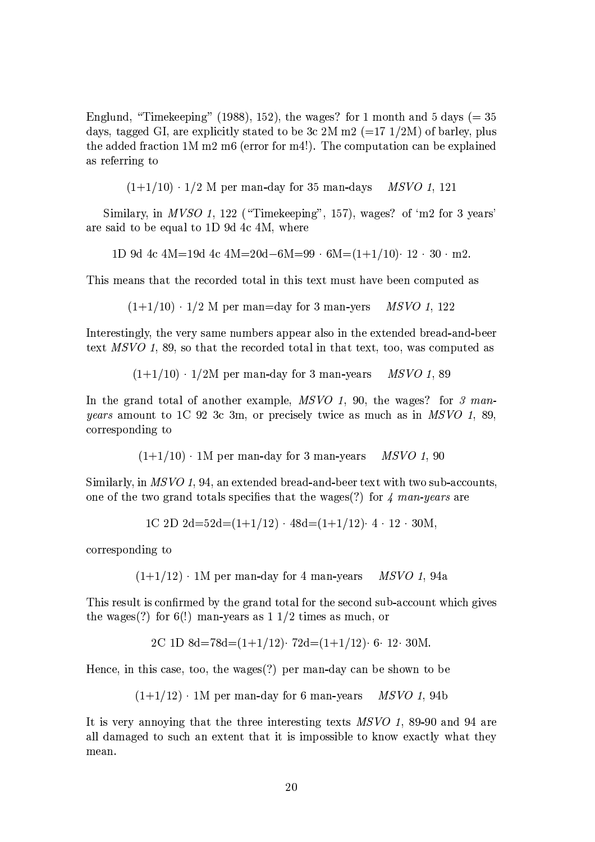Englund, "Timekeeping" (1988), 152), the wages? for 1 month and 5 days ( $=$  35 days, tagged GI, are explicitly stated to be 3c 2M m2 (=17 1/2M) of barley, plus the added fraction  $1M$  m2 m6 (error for m4!). The computation can be explained as referring to

 $(1+1/10) \cdot 1/2$  M per man-day for 35 man-days *MSVO* 1, 121

Similary, in MVSO 1, 122 ("Timekeeping", 157), wages? of 'm2 for 3 years' are said to be equal to 1D 9d 4c 4M, where

1D 9d 4c 4M=19d 4c 4M=20d-6M=99  $\cdot$  6M=(1+1/10) $\cdot$  12  $\cdot$  30  $\cdot$  m2.

This means that the recorded total in this text must have been computed as

$$
(1+1/10) \cdot 1/2
$$
 M per man=day for 3 man-vers *MSVO 1*, 122

Interestingly, the very same numbers appear also in the extended bread-and-beer text  $MSVO$  1, 89, so that the recorded total in that text, too, was computed as

> $(1+1/10) \cdot 1/2M$  per man-day for 3 man-years *MSVO 1, 89*

In the grand total of another example, MSVO 1, 90, the wages? for 3 man*years* amount to 1C 92 3c 3m, or precisely twice as much as in MSVO 1, 89, corresponding to

> $(1+1/10)$  · 1M per man-day for 3 man-years *MSVO* 1, 90

Similarly, in MSVO 1, 94, an extended bread-and-beer text with two sub-accounts, one of the two grand totals specifies that the wages(?) for  $\lambda$  man-years are

$$
1C 2D 2d = 52d = (1+1/12) \cdot 48d = (1+1/12) \cdot 4 \cdot 12 \cdot 30M,
$$

corresponding to

MSVO 1, 94a  $(1+1/12)$  · 1M per man-day for 4 man-years

This result is confirmed by the grand total for the second sub-account which gives the wages(?) for 6(!) man-years as  $1\frac{1}{2}$  times as much, or

Hence, in this case, too, the wages $(?)$  per man-day can be shown to be

 $(1+1/12)$  · 1M per man-day for 6 man-vears *MSVO* 1.94b

It is very annoving that the three interesting texts MSVO 1, 89-90 and 94 are all damaged to such an extent that it is impossible to know exactly what they mean.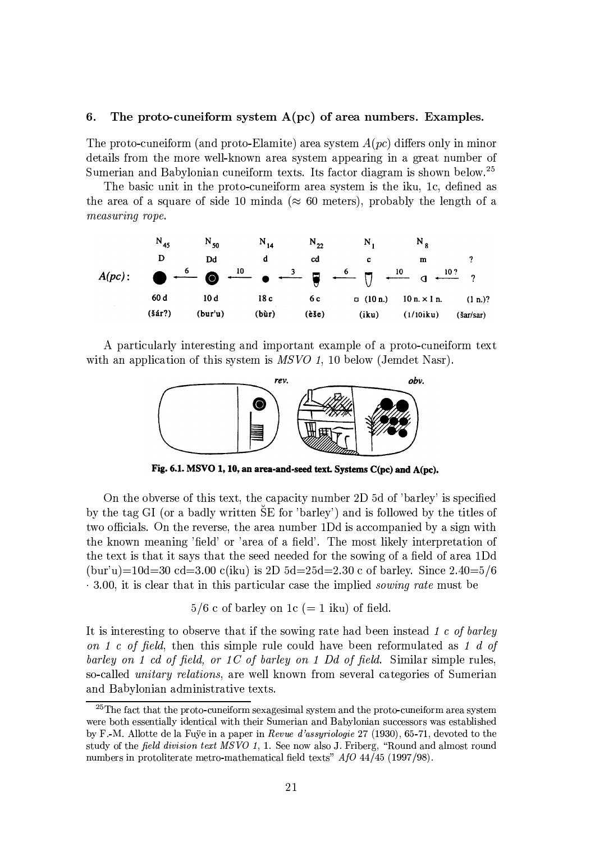#### 6. The proto-cuneiform system  $A(pc)$  of area numbers. Examples.

The proto-cuneiform (and proto-Elamite) area system  $A(pc)$  differs only in minor details from the more well-known area system appearing in a great number of Sumerian and Babylonian cuneiform texts. Its factor diagram is shown below.<sup>25</sup>

The basic unit in the proto-cuneiform area system is the iku, 1c, defined as the area of a square of side 10 minds ( $\approx 60$  meters), probably the length of a measuring rope.



A particularly interesting and important example of a proto-cuneiform text with an application of this system is  $MSVO$  1, 10 below (Jemdet Nasr).



Fig. 6.1. MSVO 1, 10, an area-and-seed text. Systems C(pc) and A(pc).

On the obverse of this text, the capacity number 2D 5d of 'barley' is specified by the tag GI (or a badly written SE for 'barley') and is followed by the titles of two officials. On the reverse, the area number 1Dd is accompanied by a sign with the known meaning 'field' or 'area of a field'. The most likely interpretation of the text is that it says that the seed needed for the sowing of a field of area 1Dd  $(bur'u)=10d=30$  cd=3.00 c(iku) is 2D 5d=25d=2.30 c of barley. Since 2.40=5/6  $\cdot$  3.00, it is clear that in this particular case the implied *sowing rate* must be

 $5/6$  c of barley on 1c (= 1 iku) of field.

It is interesting to observe that if the sowing rate had been instead 1 c of barley on 1 c of field, then this simple rule could have been reformulated as 1 d of barley on 1 cd of field, or 1C of barley on 1 Dd of field. Similar simple rules, so-called *unitary relations*, are well known from several categories of Sumerian and Babylonian administrative texts.

<sup>&</sup>lt;sup>25</sup>The fact that the proto-cuneiform sexagesimal system and the proto-cuneiform area system were both essentially identical with their Sumerian and Babylonian successors was established by F.-M. Allotte de la Fuye in a paper in Revue d'assyriologie 27 (1930), 65-71, devoted to the study of the field division text MSVO 1, 1. See now also J. Friberg, "Round and almost round numbers in protoliterate metro-mathematical field texts" AfO 44/45 (1997/98).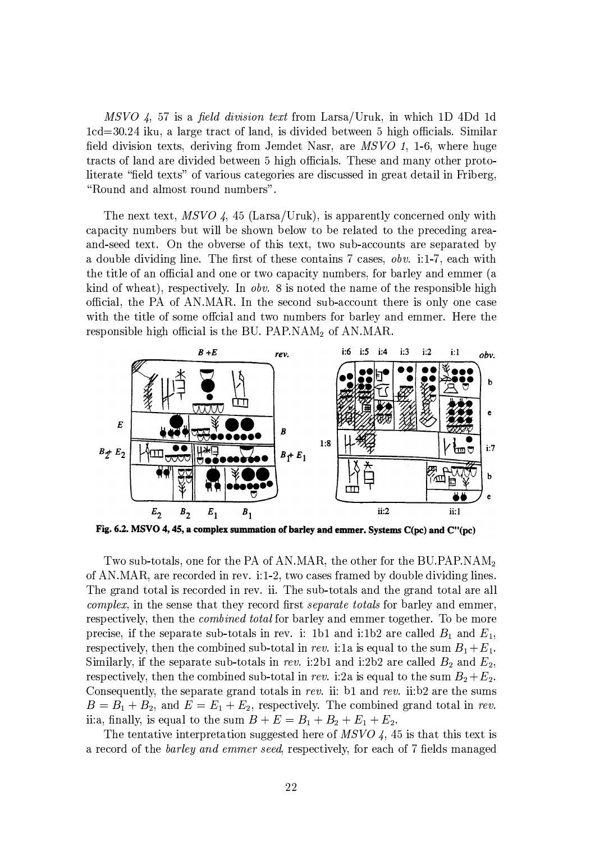MSVO 4, 57 is a field division text from Larsa/Uruk, in which 1D 4Dd 1d 1cd=30.24 iku, a large tract of land, is divided between 5 high officials. Similar field division texts, deriving from Jemdet Nasr, are MSVO 1, 1-6, where huge tracts of land are divided between 5 high officials. These and many other protoliterate "field texts" of various categories are discussed in great detail in Friberg, "Round and almost round numbers".

The next text,  $MSVO$  4, 45 (Larsa/Uruk), is apparently concerned only with capacity numbers but will be shown below to be related to the preceding areaand-seed text. On the obverse of this text, two sub-accounts are separated by a double dividing line. The first of these contains 7 cases, *obv.* i:1-7, each with the title of an official and one or two capacity numbers, for barley and emmer (a kind of wheat), respectively. In *obv.* 8 is noted the name of the responsible high official, the PA of AN.MAR. In the second sub-account there is only one case with the title of some official and two numbers for barley and emmer. Here the responsible high official is the BU. PAP.NAM<sub>2</sub> of AN.MAR.



Fig. 6.2. MSVO 4, 45, a complex summation of barley and emmer. Systems C(pc) and C"(pc)

Two sub-totals, one for the PA of AN.MAR, the other for the BU.PAP.NAM<sub>2</sub> of AN.MAR, are recorded in rev. i:1-2, two cases framed by double dividing lines. The grand total is recorded in rev. ii. The sub-totals and the grand total are all *complex*, in the sense that they record first *separate totals* for barley and emmer, respectively, then the *combined total* for barley and emmer together. To be more precise, if the separate sub-totals in rev. i: 1b1 and i:1b2 are called  $B_1$  and  $E_1$ , respectively, then the combined sub-total in rev. i:1a is equal to the sum  $B_1 + E_1$ . Similarly, if the separate sub-totals in rev. i:2b1 and i:2b2 are called  $B_2$  and  $E_2$ , respectively, then the combined sub-total in rev. i:2a is equal to the sum  $B_2 + E_2$ . Consequently, the separate grand totals in rev. ii: b1 and rev. ii:b2 are the sums  $B = B_1 + B_2$ , and  $E = E_1 + E_2$ , respectively. The combined grand total in rev. ii:a, finally, is equal to the sum  $B + E = B_1 + B_2 + E_1 + E_2$ .

The tentative interpretation suggested here of  $MSVO$  4, 45 is that this text is a record of the *barley and emmer seed*, respectively, for each of 7 fields managed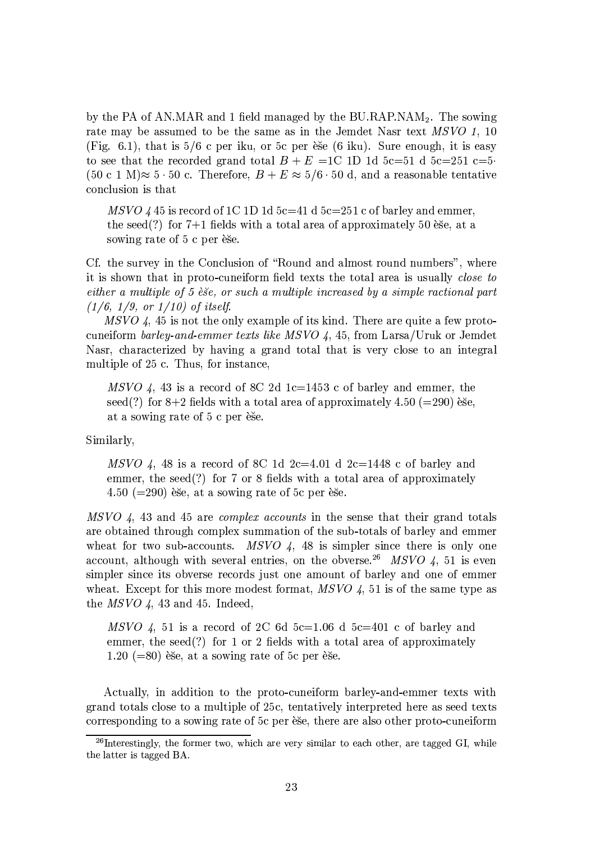by the PA of AN.MAR and 1 field managed by the BU.RAP.NAM<sub>2</sub>. The sowing rate may be assumed to be the same as in the Jemdet Nasr text MSVO 1, 10 (Fig. 6.1), that is  $5/6$  c per iku, or 5c per esse (6 iku). Sure enough, it is easy to see that the recorded grand total  $B + E = 1C$  1D 1d 5c=51 d 5c=251 c=5  $(50 \text{ c } 1 \text{ M}) \approx 5 \cdot 50 \text{ c}$ . Therefore,  $B + E \approx 5/6 \cdot 50 \text{ d}$ , and a reasonable tentative conclusion is that

MSVO 4.45 is record of 1C 1D 1d  $5c=41$  d  $5c=251$  c of barley and emmer, the seed(?) for  $7+1$  fields with a total area of approximately 50 ese, at a sowing rate of 5 c per ese.

Cf. the survey in the Conclusion of "Round and almost round numbers", where it is shown that in proto-cuneiform field texts the total area is usually *close to* either a multiple of 5 esse, or such a multiple increased by a simple ractional part  $(1/6, 1/9, or 1/10)$  of itself.

 $MSVO$  4, 45 is not the only example of its kind. There are quite a few protocuneiform barley-and-emmer texts like MSVO 4, 45, from Larsa/Uruk or Jemdet Nasr, characterized by having a grand total that is very close to an integral multiple of 25 c. Thus, for instance,

MSVO 4, 43 is a record of 8C 2d 1c=1453 c of barley and emmer, the seed(?) for  $8+2$  fields with a total area of approximately 4.50 (=290) èse, at a sowing rate of 5 c per ese.

Similarly,

MSVO 4, 48 is a record of 8C 1d 2c=4.01 d 2c=1448 c of barley and emmer, the seed(?) for 7 or 8 fields with a total area of approximately 4.50 ( $=$ 290) èse, at a sowing rate of 5c per èse.

MSVO 4, 43 and 45 are *complex accounts* in the sense that their grand totals are obtained through complex summation of the sub-totals of barley and emmer wheat for two sub-accounts. MSVO 4, 48 is simpler since there is only one account, although with several entries, on the obverse.<sup>26</sup> MSVO 4, 51 is even simpler since its obverse records just one amount of barley and one of emmer wheat. Except for this more modest format,  $MSVO$  4, 51 is of the same type as the  $MSVO$  4, 43 and 45. Indeed,

MSVO 4, 51 is a record of 2C 6d 5c=1.06 d 5c=401 c of barley and emmer, the seed(?) for 1 or 2 fields with a total area of approximately  $1.20$  (=80) ese, at a sowing rate of 5c per ese.

Actually, in addition to the proto-cuneiform barley-and-emmer texts with grand totals close to a multiple of 25c, tentatively interpreted here as seed texts corresponding to a sowing rate of 5c per esse, there are also other proto-cuneiform

 $^{26}$ Interestingly, the former two, which are very similar to each other, are tagged GI, while the latter is tagged BA.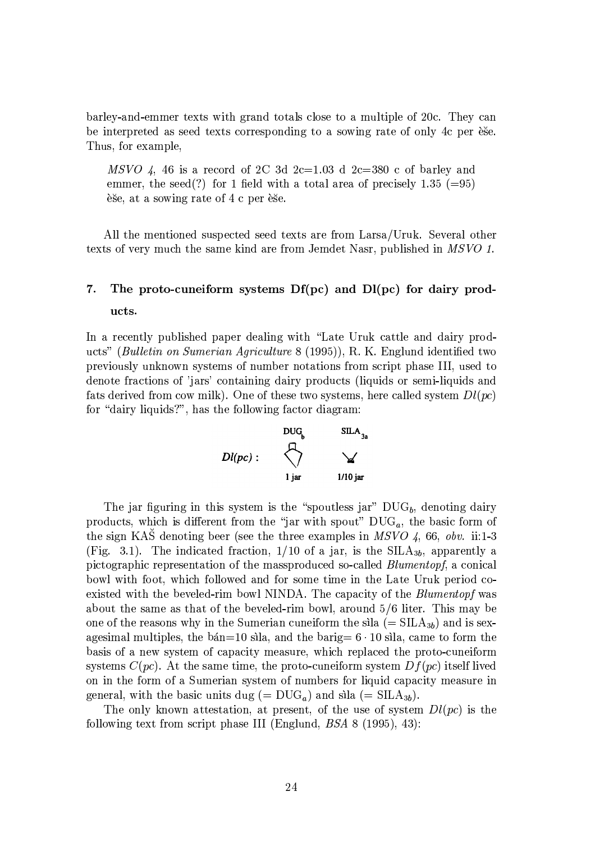barley-and-emmer texts with grand totals close to a multiple of 20c. They can be interpreted as seed texts corresponding to a sowing rate of only 4c per esse. Thus, for example,

MSVO 4, 46 is a record of 2C 3d 2c=1.03 d 2c=380 c of barley and emmer, the seed(?) for 1 field with a total area of precisely 1.35 (=95) ese, at a sowing rate of 4 c per ese.

All the mentioned suspected seed texts are from Larsa/Uruk. Several other texts of very much the same kind are from Jemdet Nasr, published in MSVO 1.

## 7. The proto-cuneiform systems  $Df(pc)$  and  $Dl(pc)$  for dairy products.

In a recently published paper dealing with "Late Uruk cattle and dairy products" *(Bulletin on Sumerian Agriculture 8 (1995)*), R. K. Englund identified two previously unknown systems of number notations from script phase III, used to denote fractions of 'jars' containing dairy products (liquids or semi-liquids and fats derived from cow milk). One of these two systems, here called system  $Dl(pc)$ for "dairy liquids?", has the following factor diagram:



The jar figuring in this system is the "spoutless jar"  $\text{DUG}_b$ , denoting dairy products, which is different from the "jar with spout"  $DUG_a$ , the basic form of the sign KAS denoting beer (see the three examples in MSVO 4, 66, obv. ii:1-3 (Fig. 3.1). The indicated fraction,  $1/10$  of a jar, is the SILA<sub>3b</sub>, apparently a pictographic representation of the massproduced so-called *Blumentopf*, a conical bowl with foot, which followed and for some time in the Late Uruk period coexisted with the beveled-rim bowl NINDA. The capacity of the *Blumentopf* was about the same as that of the beveled-rim bowl, around 5/6 liter. This may be one of the reasons why in the Sumerian cuneiform the sila  $(= SILA_{3b})$  and is sexagesimal multiples, the bán=10 sila, and the barig=  $6 \cdot 10$  sila, came to form the basis of a new system of capacity measure, which replaced the proto-cuneiform systems  $C(pc)$ . At the same time, the proto-cuneiform system  $Df(pc)$  itself lived on in the form of a Sumerian system of numbers for liquid capacity measure in general, with the basic units dug (=  $DUG_a$ ) and sila (=  $SILA_{3b}$ ).

The only known attestation, at present, of the use of system  $Dl(pc)$  is the following text from script phase III (Englund,  $BSA$  8 (1995), 43):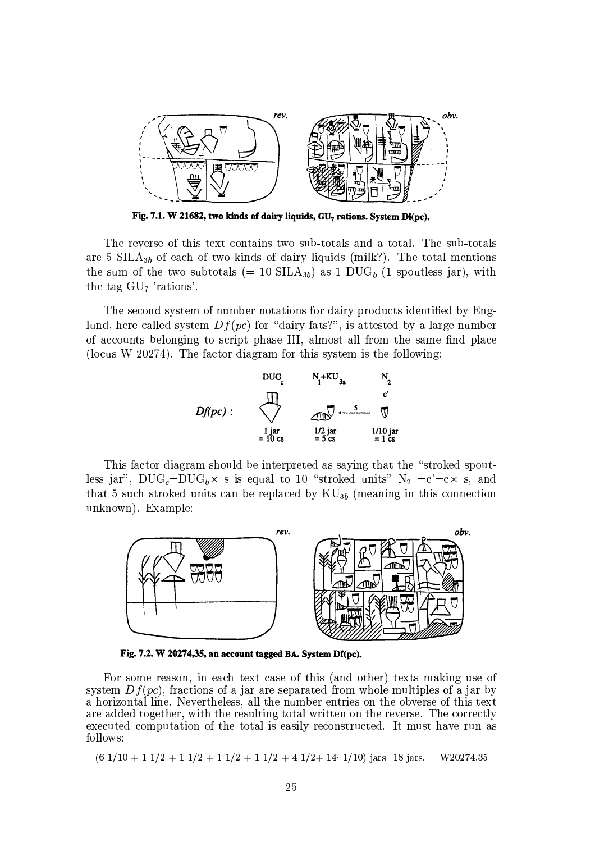

Fig. 7.1. W 21682, two kinds of dairy liquids, GU<sub>7</sub> rations. System Dl(pc),

The reverse of this text contains two sub-totals and a total. The sub-totals are 5 SILA<sub>3b</sub> of each of two kinds of dairy liquids (milk?). The total mentions the sum of the two subtotals (= 10 SILA<sub>3b</sub>) as 1 DUG<sub>b</sub> (1 spoutless jar), with the tag  $GU<sub>7</sub>$  'rations'.

The second system of number notations for dairy products identified by Englund, here called system  $Df(pc)$  for "dairy fats?", is attested by a large number of accounts belonging to script phase III, almost all from the same find place (locus W 20274). The factor diagram for this system is the following:



This factor diagram should be interpreted as saying that the "stroked spoutless jar", DUG<sub>c</sub>=DUG<sub>b</sub>× s is equal to 10 "stroked units" N<sub>2</sub> =c'=c× s, and that 5 such stroked units can be replaced by  $\text{KU}_{3b}$  (meaning in this connection unknown). Example:



Fig. 7.2. W 20274,35, an account tagged BA. System Df(pc).

For some reason, in each text case of this (and other) texts making use of system  $Df(pc)$ , fractions of a jar are separated from whole multiples of a jar by a horizontal line. Nevertheless, all the number entries on the obverse of this text are added together, with the resulting total written on the reverse. The correctly executed computation of the total is easily reconstructed. It must have run as follows:

 $(6\ 1/10 + 1\ 1/2 + 1\ 1/2 + 1\ 1/2 + 1\ 1/2 + 4\ 1/2 + 14\ 1/10)$  jars=18 jars. W20274.35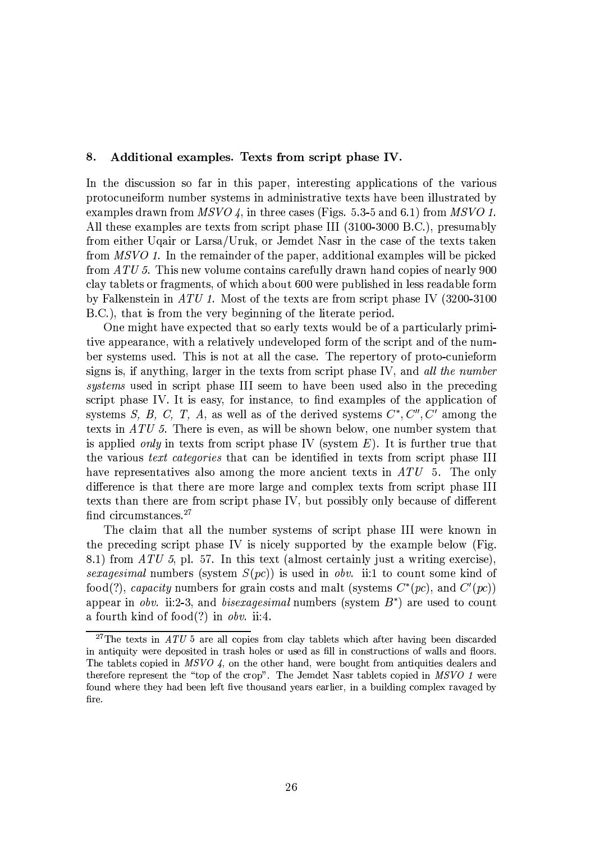#### 8. Additional examples. Texts from script phase IV.

In the discussion so far in this paper, interesting applications of the various protocuneiform number systems in administrative texts have been illustrated by examples drawn from  $MSVO$  4, in three cases (Figs. 5.3-5 and 6.1) from MSVO 1. All these examples are texts from script phase III (3100-3000 B.C.), presumably from either Ugair or Larsa/Uruk, or Jemdet Nasr in the case of the texts taken from MSVO 1. In the remainder of the paper, additional examples will be picked from  $ATU$  5. This new volume contains carefully drawn hand copies of nearly 900 clay tablets or fragments, of which about 600 were published in less readable form by Falkenstein in ATU 1. Most of the texts are from script phase IV  $(3200-3100)$ B.C.), that is from the very beginning of the literate period.

One might have expected that so early texts would be of a particularly primitive appearance, with a relatively undeveloped form of the script and of the number systems used. This is not at all the case. The repertory of proto-cunieform signs is, if anything, larger in the texts from script phase IV, and all the number systems used in script phase III seem to have been used also in the preceding script phase IV. It is easy, for instance, to find examples of the application of systems S, B, C, T, A, as well as of the derived systems  $C^*, C'', C'$  among the texts in ATU 5. There is even, as will be shown below, one number system that is applied only in texts from script phase IV (system  $E$ ). It is further true that the various *text categories* that can be identified in texts from script phase III have representatives also among the more ancient texts in ATU 5. The only difference is that there are more large and complex texts from script phase III texts than there are from script phase IV, but possibly only because of different find circumstances.<sup>27</sup>

The claim that all the number systems of script phase III were known in the preceding script phase IV is nicely supported by the example below (Fig. 8.1) from  $ATU$  5, pl. 57. In this text (almost certainly just a writing exercise), sexagesimal numbers (system  $S(pc)$ ) is used in obv. ii:1 to count some kind of food(?), capacity numbers for grain costs and malt (systems  $C^*(pc)$ , and  $C'(pc)$ ) appear in *obv.* ii:2-3, and *bisexagesimal* numbers (system  $B^*$ ) are used to count a fourth kind of food $(?)$  in *obv.* ii:4.

<sup>&</sup>lt;sup>27</sup>The texts in *ATU* 5 are all copies from clay tablets which after having been discarded in antiquity were deposited in trash holes or used as fill in constructions of walls and floors. The tablets copied in MSVO 4, on the other hand, were bought from antiquities dealers and therefore represent the "top of the crop". The Jemdet Nasr tablets copied in MSVO 1 were found where they had been left five thousand years earlier, in a building complex ravaged by fire.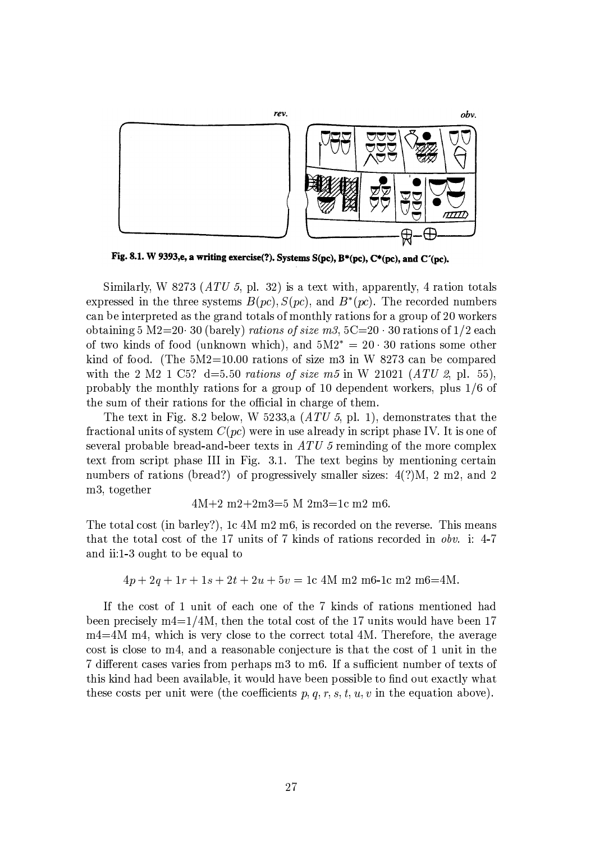

Fig. 8.1. W 9393,e, a writing exercise(?). Systems S(pc), B\*(pc), C\*(pc), and C'(pc).

Similarly, W 8273 ( $ATU$  5, pl. 32) is a text with, apparently, 4 ration totals expressed in the three systems  $B(pc)$ ,  $S(pc)$ , and  $B^*(pc)$ . The recorded numbers can be interpreted as the grand totals of monthly rations for a group of 20 workers obtaining 5 M2=20 30 (barely) rations of size m3,  $5C=20 \cdot 30$  rations of 1/2 each of two kinds of food (unknown which), and  $5M2^* = 20 \cdot 30$  rations some other kind of food. (The  $5M2=10.00$  rations of size m3 in W 8273 can be compared with the 2 M2 1 C5? d=5.50 rations of size m5 in W 21021 (ATU 2, pl. 55), probably the monthly rations for a group of 10 dependent workers, plus  $1/6$  of the sum of their rations for the official in charge of them.

The text in Fig. 8.2 below, W 5233, a  $(ATU5, pl. 1)$ , demonstrates that the fractional units of system  $C(pc)$  were in use already in script phase IV. It is one of several probable bread-and-beer texts in  $ATU$  5 reminding of the more complex text from script phase III in Fig. 3.1. The text begins by mentioning certain numbers of rations (bread?) of progressively smaller sizes:  $4(?)M$ , 2 m2, and 2 m3, together

$$
4M+2 m2+2m3=5 M 2m3=1c m2 m6.
$$

The total cost (in barley?), 1c 4M m2 m6, is recorded on the reverse. This means that the total cost of the 17 units of 7 kinds of rations recorded in obv. i: 4-7 and ii:1-3 ought to be equal to

$$
4p + 2q + 1r + 1s + 2t + 2u + 5v = 1c
$$
 4M m2 m6-1c m2 m6=4M.

If the cost of 1 unit of each one of the 7 kinds of rations mentioned had been precisely  $m4=1/4M$ , then the total cost of the 17 units would have been 17 m4=4M m4, which is very close to the correct total 4M. Therefore, the average cost is close to m4, and a reasonable conjecture is that the cost of 1 unit in the 7 different cases varies from perhaps m3 to m6. If a sufficient number of texts of this kind had been available, it would have been possible to find out exactly what these costs per unit were (the coefficients  $p, q, r, s, t, u, v$  in the equation above).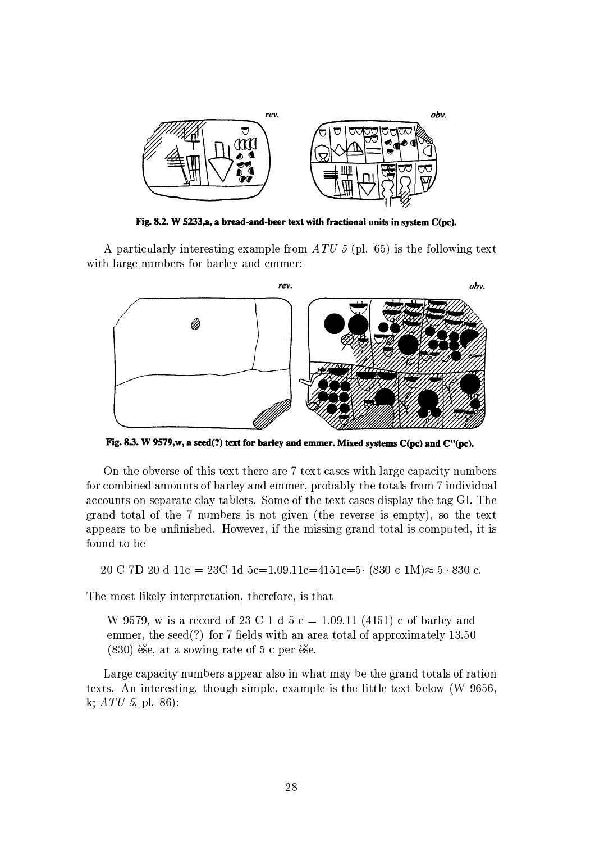

Fig. 8.2. W 5233,a, a bread-and-beer text with fractional units in system  $C(pc)$ .

A particularly interesting example from  $ATU 5$  (pl. 65) is the following text with large numbers for barley and emmer:



Fig. 8.3. W 9579,w, a seed(?) text for barley and emmer. Mixed systems C(pc) and C"(pc).

On the obverse of this text there are 7 text cases with large capacity numbers for combined amounts of barley and emmer, probably the totals from 7 individual accounts on separate clay tablets. Some of the text cases display the tag GI. The grand total of the 7 numbers is not given (the reverse is empty), so the text appears to be unfinished. However, if the missing grand total is computed, it is found to be

20 C 7D 20 d 11c = 23C 1d 5c=1.09.11c=4151c=5 (830 c 1M) $\approx$  5 · 830 c.

The most likely interpretation, therefore, is that

W 9579, w is a record of 23 C 1 d 5 c = 1.09.11 (4151) c of barley and emmer, the seed(?) for 7 fields with an area total of approximately  $13.50$  $(830)$  ese, at a sowing rate of 5 c per ese.

Large capacity numbers appear also in what may be the grand totals of ration texts. An interesting, though simple, example is the little text below (W 9656, k;  $ATU$  5, pl. 86):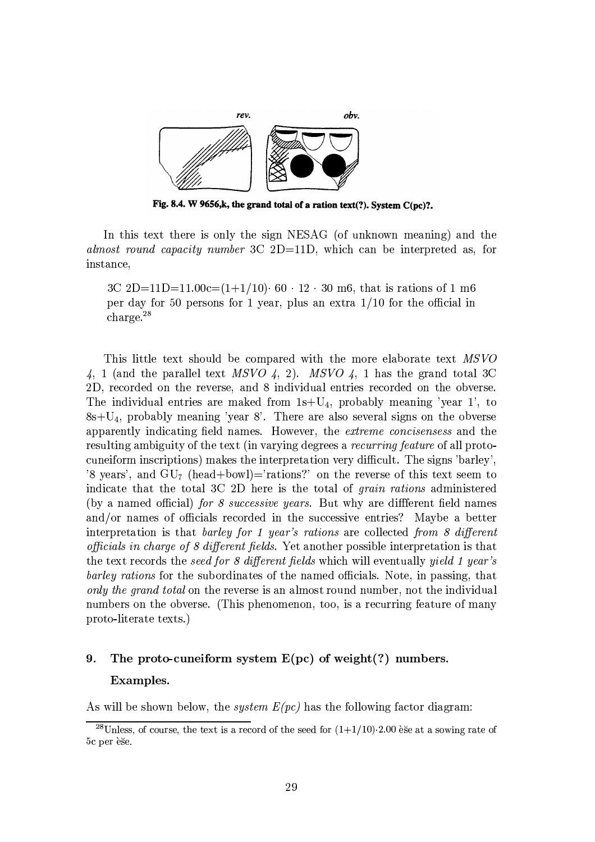

Fig. 8.4. W 9656,k, the grand total of a ration text(?). System  $C(pc)$ ?.

In this text there is only the sign NESAG (of unknown meaning) and the almost round capacity number 3C 2D=11D, which can be interpreted as, for instance,

3C 2D=11D=11.00c= $(1+1/10)$  60 · 12 · 30 m6, that is rations of 1 m6 per day for 50 persons for 1 year, plus an extra  $1/10$  for the official in charge. $^{28}$ 

This little text should be compared with the more elaborate text MSVO 4, 1 (and the parallel text MSVO 4, 2). MSVO 4, 1 has the grand total 3C 2D, recorded on the reverse, and 8 individual entries recorded on the obverse. The individual entries are maked from  $1s+U_4$ , probably meaning 'year 1', to  $8s+U_4$ , probably meaning 'year 8'. There are also several signs on the obverse apparently indicating field names. However, the extreme concisensess and the resulting ambiguity of the text (in varying degrees a *recurring feature* of all protocuneiform inscriptions) makes the interpretation very difficult. The signs 'barley', '8 years', and  $GU_{7}$  (head+bowl)='rations?' on the reverse of this text seem to indicate that the total 3C 2D here is the total of *grain rations* administered (by a named official) for 8 successive years. But why are different field names and/or names of officials recorded in the successive entries? Maybe a better interpretation is that barley for 1 year's rations are collected from 8 different *officials in charge of 8 different fields.* Yet another possible interpretation is that the text records the *seed for 8 different fields* which will eventually *yield 1 year's barley rations* for the subordinates of the named officials. Note, in passing, that only the grand total on the reverse is an almost round number, not the individual numbers on the obverse. (This phenomenon, too, is a recurring feature of many proto-literate texts.)

## 9. The proto-cuneiform system  $E(pc)$  of weight(?) numbers. Examples.

As will be shown below, the *system*  $E(pc)$  has the following factor diagram:

<sup>&</sup>lt;sup>28</sup>Unless, of course, the text is a record of the seed for  $(1+1/10)\cdot 2.00$  èse at a sowing rate of 5c per èše.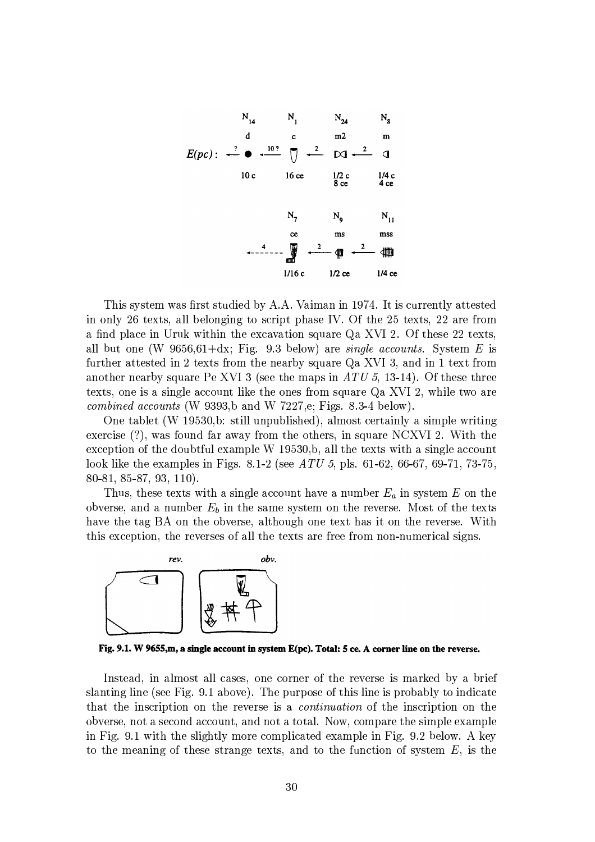

This system was first studied by A.A. Vaiman in 1974. It is currently attested in only 26 texts, all belonging to script phase IV. Of the 25 texts, 22 are from a find place in Uruk within the excavation square Qa XVI 2. Of these 22 texts, all but one (W  $9656.61 + dx$ ; Fig. 9.3 below) are *single accounts*. System E is further attested in 2 texts from the nearby square Qa XVI 3, and in 1 text from another nearby square Pe XVI 3 (see the maps in  $ATU$  5, 13-14). Of these three texts, one is a single account like the ones from square Qa XVI 2, while two are *combined accounts* (W 9393,b and W 7227,e; Figs. 8.3-4 below).

One tablet (W 19530, b: still unpublished), almost certainly a simple writing exercise  $(?)$ , was found far away from the others, in square NCXVI 2. With the exception of the doubtful example W 19530, b, all the texts with a single account look like the examples in Figs. 8.1-2 (see  $ATU$  5, pls. 61-62, 66-67, 69-71, 73-75, 80-81, 85-87, 93, 110).

Thus, these texts with a single account have a number  $E_a$  in system E on the obverse, and a number  $E_b$  in the same system on the reverse. Most of the texts have the tag BA on the obverse, although one text has it on the reverse. With this exception, the reverses of all the texts are free from non-numerical signs.



Fig. 9.1. W 9655,m, a single account in system E(pc). Total: 5 ce. A corner line on the reverse.

Instead, in almost all cases, one corner of the reverse is marked by a brief slanting line (see Fig. 9.1 above). The purpose of this line is probably to indicate that the inscription on the reverse is a *continuation* of the inscription on the obverse, not a second account, and not a total. Now, compare the simple example in Fig. 9.1 with the slightly more complicated example in Fig. 9.2 below. A key to the meaning of these strange texts, and to the function of system  $E$ , is the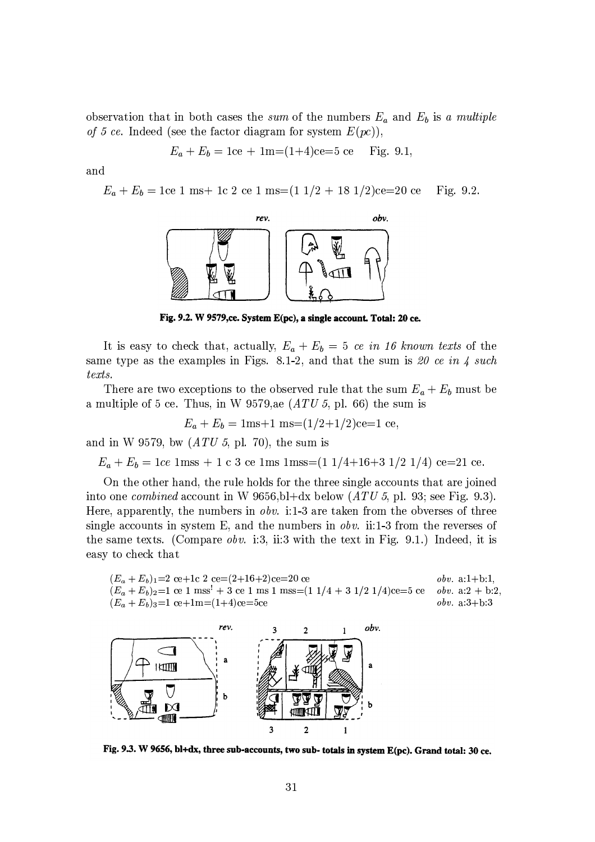observation that in both cases the sum of the numbers  $E_a$  and  $E_b$  is a multiple of 5 ce. Indeed (see the factor diagram for system  $E(pc)$ ),

$$
E_a + E_b = 1ce + 1m = (1+4)ce = 5 ce
$$
 Fig. 9.1,

and

 $E_a + E_b = 1 \mathrm{ce}$ 1 ms<br/>+ 1c 2 ce 1 ms=(1 1/2 + 18 1/2)ce=20 ce Fig.  $9.2$ .



Fig. 9.2. W 9579,ce. System E(pc), a single account. Total: 20 ce.

It is easy to check that, actually,  $E_a + E_b = 5$  ce in 16 known texts of the same type as the examples in Figs. 8.1-2, and that the sum is 20 ce in 4 such  $texts$ .

There are two exceptions to the observed rule that the sum  $E_a + E_b$  must be a multiple of 5 ce. Thus, in W 9579, as  $(ATU 5, \text{ pl. } 66)$  the sum is

$$
E_a + E_b = 1ms + 1 ms = (1/2 + 1/2)ce = 1 ce
$$
,

and in W 9579, bw  $(ATU 5, pl. 70)$ , the sum is

 $E_a + E_b = 1ce$  1mss + 1 c 3 ce 1ms 1mss=(1 1/4+16+3 1/2 1/4) ce=21 ce.

On the other hand, the rule holds for the three single accounts that are joined into one *combined* account in W 9656, bl+dx below  $(ATU 5, p1. 93;$  see Fig. 9.3). Here, apparently, the numbers in *obv.* i:1-3 are taken from the obverses of three single accounts in system E, and the numbers in *obv.* ii:1-3 from the reverses of the same texts. (Compare *obv.* i:3, ii:3 with the text in Fig. 9.1.) Indeed, it is easy to check that

 $(E_a + E_b)_1 = 2$  ce+1c 2 ce= $(2+16+2)$ ce=20 ce *obv.*  $a:1+b:1$ .  $(E_a + E_b)_2 = 1$  ce 1 mss<sup>!</sup> + 3 ce 1 ms 1 mss=(1 1/4 + 3 1/2 1/4)ce=5 ce *obv.*  $a:2 + b:2$  $(E_a + E_b)_{3} = 1$  ce+1m=(1+4)ce=5ce *obv.*  $a:3+b:3$ 



Fig. 9.3. W 9656, bl+dx, three sub-accounts, two sub- totals in system E(pc). Grand total: 30 ce.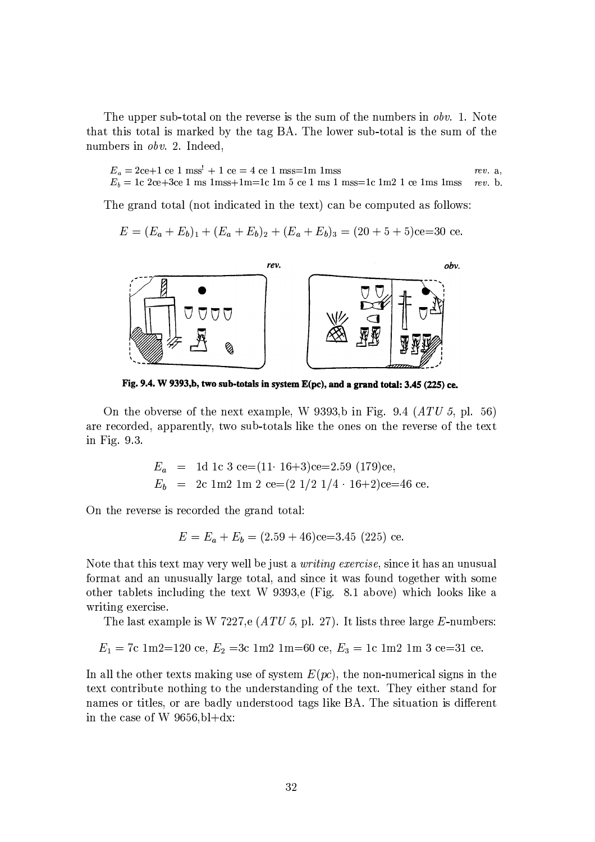The upper sub-total on the reverse is the sum of the numbers in *obv.* 1. Note that this total is marked by the tag BA. The lower sub-total is the sum of the numbers in *obv.* 2. Indeed,

$$
E_a = 2ce + 1 ce 1 mss' + 1 ce = 4 ce 1 mss = 1m lms
$$
  
\n
$$
E_b = 1c 2ce + 3ce 1 msmms + 1m = 1c 1m 5 ce 1 msmms = 1c 1m 2 1 ce 1msmms
$$
  
\n
$$
rev. a,
$$
  
\n
$$
rev. a,
$$

The grand total (not indicated in the text) can be computed as follows:

$$
E = (E_a + E_b)_1 + (E_a + E_b)_2 + (E_a + E_b)_3 = (20 + 5 + 5)ce = 30
$$
ce.



Fig. 9.4. W 9393,b, two sub-totals in system E(pc), and a grand total: 3.45 (225) ce.

On the obverse of the next example, W 9393,b in Fig. 9.4  $(ATU 5, p1. 56)$ are recorded, apparently, two sub-totals like the ones on the reverse of the text in Fig. 9.3.

$$
E_a = 1d \text{ 1c } 3 \text{ ce} = (11 \cdot 16 + 3) \text{ce} = 2.59 \text{ (179)} \text{ce},
$$
  
\n
$$
E_b = 2c \text{ 1m } 2 \text{ 1m } 2 \text{ ce} = (2 \frac{1}{2} \frac{1}{4} \cdot 16 + 2) \text{ce} = 46 \text{ ce}.
$$

On the reverse is recorded the grand total:

$$
E = E_a + E_b = (2.59 + 46)ce = 3.45 (225) ce.
$$

Note that this text may very well be just a *writing exercise*, since it has an unusual format and an unusually large total, and since it was found together with some other tablets including the text W 9393,e (Fig. 8.1 above) which looks like a writing exercise.

The last example is W 7227,e  $(ATU 5, pl. 27)$ . It lists three large E-numbers:

$$
E_1 = 7c
$$
 1m2=120 ce,  $E_2 = 3c$  1m2 1m=60 ce,  $E_3 = 1c$  1m2 1m 3 ce=31 ce.

In all the other texts making use of system  $E(pc)$ , the non-numerical signs in the text contribute nothing to the understanding of the text. They either stand for names or titles, or are badly understood tags like BA. The situation is different in the case of W  $9656$ , bl+dx: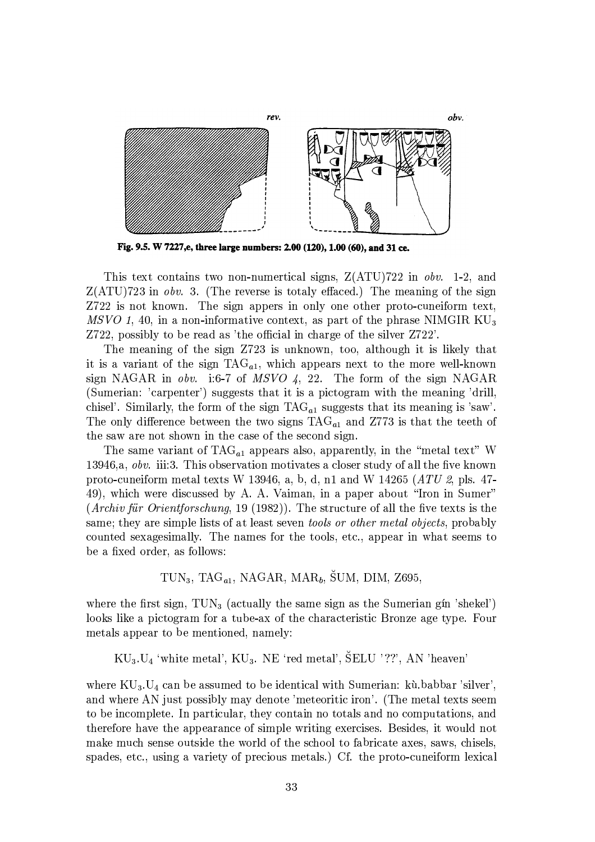

Fig. 9.5. W 7227,e, three large numbers: 2.00 (120), 1.00 (60), and 31 ce.

This text contains two non-numertical signs,  $Z(ATU)722$  in  $obv$ . 1-2, and  $Z(ATU)$ 723 in *obv.* 3. (The reverse is totaly effaced.) The meaning of the sign Z722 is not known. The sign appers in only one other proto-cuneiform text, MSVO 1, 40, in a non-informative context, as part of the phrase NIMGIR  $KU_3$ Z722, possibly to be read as 'the official in charge of the silver Z722'.

The meaning of the sign Z723 is unknown, too, although it is likely that it is a variant of the sign  $TAG_{a1}$ , which appears next to the more well-known sign NAGAR in *obv.* i:6-7 of MSVO 4, 22. The form of the sign NAGAR (Sumerian: 'carpenter') suggests that it is a pictogram with the meaning 'drill, chisel'. Similarly, the form of the sign  $TAG_{a1}$  suggests that its meaning is 'saw'. The only difference between the two signs  $TAG_{a1}$  and Z773 is that the teeth of the saw are not shown in the case of the second sign.

The same variant of  $TAG_{a1}$  appears also, apparently, in the "metal text" W 13946, a, obv. iii:3. This observation motivates a closer study of all the five known proto-cuneiform metal texts W 13946, a, b, d, n1 and W 14265  $(ATU \, \text{2, pls. } 47)$ 49), which were discussed by A. A. Vaiman, in a paper about "Iron in Sumer"  $(Archiv für Orientforschung, 19 (1982)).$  The structure of all the five texts is the same; they are simple lists of at least seven *tools or other metal objects*, probably counted sexagesimally. The names for the tools, etc., appear in what seems to be a fixed order, as follows:

 $TUN_3$ , TAG<sub>a1</sub>, NAGAR, MAR<sub>b</sub>, SUM, DIM, Z695,

where the first sign,  $TUN_3$  (actually the same sign as the Sumerian gin 'shekel') looks like a pictogram for a tube-ax of the characteristic Bronze age type. Four metals appear to be mentioned, namely:

 $KU_3.U_4$  'white metal',  $KU_3$ . NE 'red metal',  $\text{SELU}$  '??', AN 'heaven'

where  $KU_3.U_4$  can be assumed to be identical with Sumerian: kù babbar 'silver', and where AN just possibly may denote 'meteoritic iron'. (The metal texts seem to be incomplete. In particular, they contain no totals and no computations, and therefore have the appearance of simple writing exercises. Besides, it would not make much sense outside the world of the school to fabricate axes, saws, chisels. spades, etc., using a variety of precious metals.) Cf. the proto-cuneiform lexical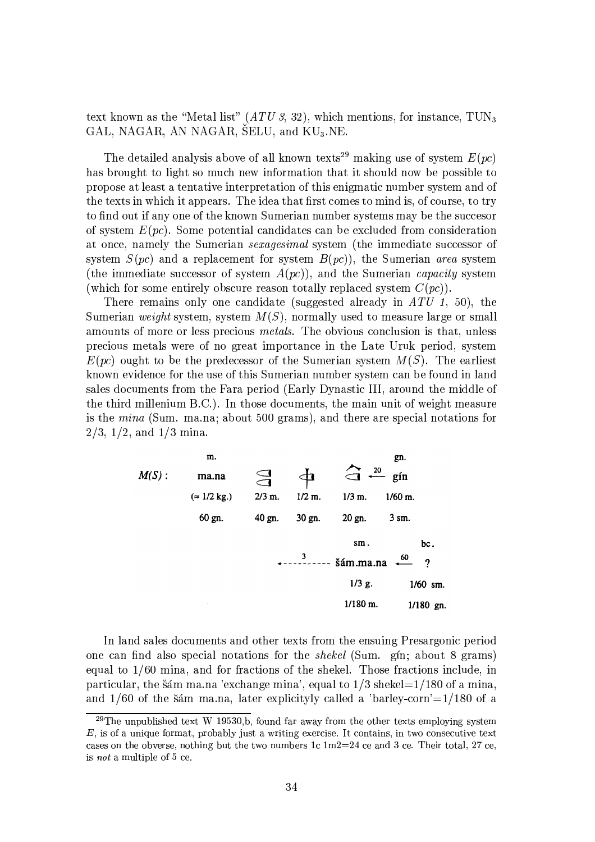text known as the "Metal list"  $(ATU 3, 32)$ , which mentions, for instance, TUN<sub>3</sub> GAL, NAGAR, AN NAGAR, SELU, and KU<sub>3</sub>.NE.

The detailed analysis above of all known texts<sup>29</sup> making use of system  $E(pc)$ has brought to light so much new information that it should now be possible to propose at least a tentative interpretation of this enigmatic number system and of the texts in which it appears. The idea that first comes to mind is, of course, to try to find out if any one of the known Sumerian number systems may be the succesor of system  $E(pc)$ . Some potential candidates can be excluded from consideration at once, namely the Sumerian *sexagesimal* system (the immediate successor of system  $S(pc)$  and a replacement for system  $B(pc)$ , the Sumerian area system (the immediate successor of system  $A(pc)$ ), and the Sumerian *capacity* system (which for some entirely obscure reason totally replaced system  $C(pc)$ ).

There remains only one candidate (suggested already in  $ATU$  1, 50), the Sumerian weight system, system  $M(S)$ , normally used to measure large or small amounts of more or less precious *metals*. The obvious conclusion is that, unless precious metals were of no great importance in the Late Uruk period, system  $E(pc)$  ought to be the predecessor of the Sumerian system  $M(S)$ . The earliest known evidence for the use of this Sumerian number system can be found in land sales documents from the Fara period (Early Dynastic III, around the middle of the third millenium B.C.). In those documents, the main unit of weight measure is the *mina* (Sum. ma.na; about 500 grams), and there are special notations for  $2/3$ ,  $1/2$ , and  $1/3$  mina.

m.  
\n
$$
M(S): \t{mn.na} \t{m.}
$$
\n
$$
= 1/2 kg.) \t{2/3 m.}
$$
\n
$$
1/2 m.
$$
\n
$$
1/3 m.
$$
\n
$$
1/60 m.
$$
\n60 gn. 40 gn. 30 gn. 20 gn. 3 sm. 60.

In land sales documents and other texts from the ensuing Presargonic period one can find also special notations for the *shekel* (Sum. gin; about 8 grams) equal to  $1/60$  mina, and for fractions of the shekel. Those fractions include, in particular, the šám ma.na 'exchange mina', equal to  $1/3$  shekel= $1/180$  of a mina, and  $1/60$  of the sam ma.na, later explicityly called a 'barley-corn'= $1/180$  of a

<sup>&</sup>lt;sup>29</sup>The unpublished text W 19530.b, found far away from the other texts employing system  $E$ , is of a unique format, probably just a writing exercise. It contains, in two consecutive text cases on the obverse, nothing but the two numbers 1c  $1m^2=24$  ce and 3 ce. Their total, 27 ce, is *not* a multiple of  $5$  ce.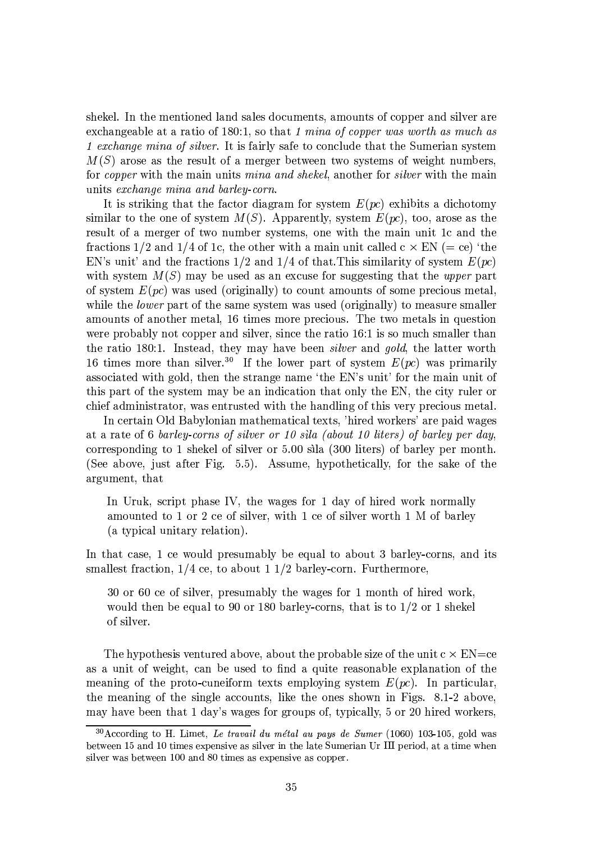shekel. In the mentioned land sales documents, amounts of copper and silver are exchangeable at a ratio of 180:1, so that 1 mina of copper was worth as much as 1 exchange mina of silver. It is fairly safe to conclude that the Sumerian system  $M(S)$  arose as the result of a merger between two systems of weight numbers, for *copper* with the main units *mina and shekel*, another for *silver* with the main units exchange mina and barley-corn.

It is striking that the factor diagram for system  $E(pc)$  exhibits a dichotomy similar to the one of system  $M(S)$ . Apparently, system  $E(pc)$ , too, arose as the result of a merger of two number systems, one with the main unit 1c and the fractions 1/2 and 1/4 of 1c, the other with a main unit called  $c \times EN (= ce)$  'the EN's unit' and the fractions  $1/2$  and  $1/4$  of that. This similarity of system  $E(pc)$ with system  $M(S)$  may be used as an excuse for suggesting that the upper part of system  $E(pc)$  was used (originally) to count amounts of some precious metal, while the *lower* part of the same system was used (originally) to measure smaller amounts of another metal, 16 times more precious. The two metals in question were probably not copper and silver, since the ratio 16:1 is so much smaller than the ratio 180:1. Instead, they may have been *silver* and *gold*, the latter worth 16 times more than silver.<sup>30</sup> If the lower part of system  $E(pc)$  was primarily associated with gold, then the strange name 'the EN's unit' for the main unit of this part of the system may be an indication that only the EN, the city ruler or chief administrator, was entrusted with the handling of this very precious metal.

In certain Old Babylonian mathematical texts, 'hired workers' are paid wages at a rate of 6 barley-corns of silver or 10 sila (about 10 liters) of barley per day, corresponding to 1 shekel of silver or 5.00 sila (300 liters) of barley per month. (See above, just after Fig. 5.5). Assume, hypothetically, for the sake of the argument, that

In Uruk, script phase IV, the wages for 1 day of hired work normally amounted to 1 or 2 ce of silver, with 1 ce of silver worth 1 M of barley (a typical unitary relation).

In that case, 1 ce would presumably be equal to about 3 barley-corns, and its smallest fraction,  $1/4$  ce, to about  $1/2$  barley-corn. Furthermore,

30 or 60 ce of silver, presumably the wages for 1 month of hired work, would then be equal to 90 or 180 barley-corns, that is to  $1/2$  or 1 shekel of silver.

The hypothesis ventured above, about the probable size of the unit  $c \times EN = ce$ as a unit of weight, can be used to find a quite reasonable explanation of the meaning of the proto-cuneiform texts employing system  $E(pc)$ . In particular, the meaning of the single accounts, like the ones shown in Figs. 8.1-2 above, may have been that 1 day's wages for groups of, typically, 5 or 20 hired workers,

 $30$  According to H. Limet, Le travail du métal au pays de Sumer (1060) 103-105, gold was between 15 and 10 times expensive as silver in the late Sumerian Ur III period, at a time when silver was between 100 and 80 times as expensive as copper.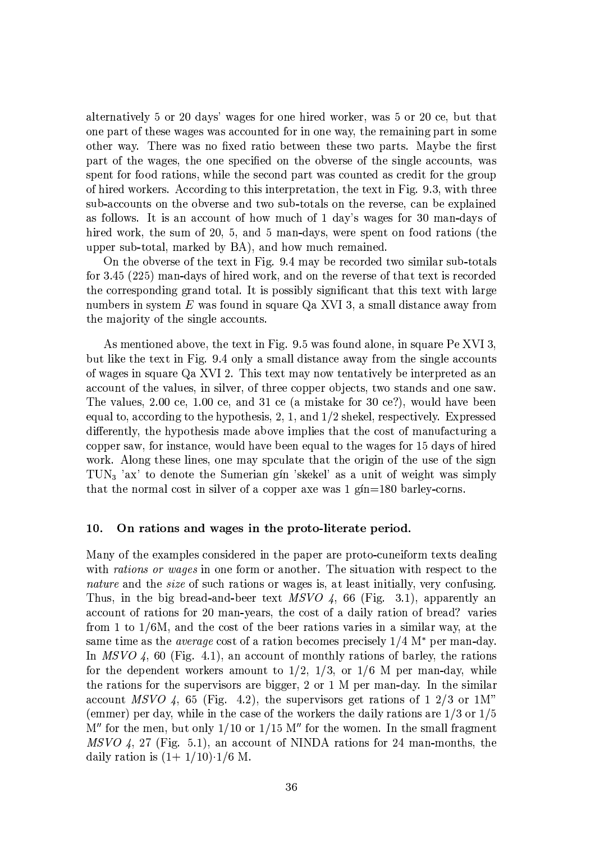alternatively 5 or 20 days' wages for one hired worker, was 5 or 20 ce, but that one part of these wages was accounted for in one way, the remaining part in some other way. There was no fixed ratio between these two parts. Maybe the first part of the wages, the one specified on the obverse of the single accounts, was spent for food rations, while the second part was counted as credit for the group of hired workers. According to this interpretation, the text in Fig. 9.3, with three sub-accounts on the obverse and two sub-totals on the reverse, can be explained as follows. It is an account of how much of 1 day's wages for 30 man-days of hired work, the sum of 20, 5, and 5 man-days, were spent on food rations (the upper sub-total, marked by BA), and how much remained.

On the obverse of the text in Fig. 9.4 may be recorded two similar sub-totals for 3.45 (225) man-days of hired work, and on the reverse of that text is recorded the corresponding grand total. It is possibly significant that this text with large numbers in system  $E$  was found in square  $Qa$  XVI 3, a small distance away from the majority of the single accounts.

As mentioned above, the text in Fig. 9.5 was found alone, in square Pe XVI 3, but like the text in Fig. 9.4 only a small distance away from the single accounts of wages in square Qa XVI 2. This text may now tentatively be interpreted as an account of the values, in silver, of three copper objects, two stands and one saw. The values, 2.00 ce, 1.00 ce, and 31 ce (a mistake for 30 ce?), would have been equal to, according to the hypothesis, 2, 1, and  $1/2$  shekel, respectively. Expressed differently, the hypothesis made above implies that the cost of manufacturing a copper saw, for instance, would have been equal to the wages for 15 days of hired work. Along these lines, one may spculate that the origin of the use of the sign TUN<sub>3</sub> 'ax' to denote the Sumerian gin 'skekel' as a unit of weight was simply that the normal cost in silver of a copper axe was  $1 \text{ g/n} = 180 \text{ b}$ arley-corns.

#### On rations and wages in the proto-literate period. 10.

Many of the examples considered in the paper are proto-cuneiform texts dealing with rations or wages in one form or another. The situation with respect to the nature and the size of such rations or wages is, at least initially, very confusing. Thus, in the big bread-and-beer text  $MSVO$  4, 66 (Fig. 3.1), apparently an account of rations for 20 man-years, the cost of a daily ration of bread? varies from 1 to  $1/6M$ , and the cost of the beer rations varies in a similar way, at the same time as the *average* cost of a ration becomes precisely  $1/4$  M<sup>\*</sup> per man-day. In MSVO 4, 60 (Fig. 4.1), an account of monthly rations of barley, the rations for the dependent workers amount to  $1/2$ ,  $1/3$ , or  $1/6$  M per man-day, while the rations for the supervisors are bigger, 2 or 1 M per man-day. In the similar account MSVO 4, 65 (Fig. 4.2), the supervisors get rations of 1 2/3 or 1M" (emmer) per day, while in the case of the workers the daily rations are  $1/3$  or  $1/5$  $M''$  for the men, but only 1/10 or 1/15 M'' for the women. In the small fragment  $MSVO$  4, 27 (Fig. 5.1), an account of NINDA rations for 24 man-months, the daily ration is  $(1+1/10) \cdot 1/6$  M.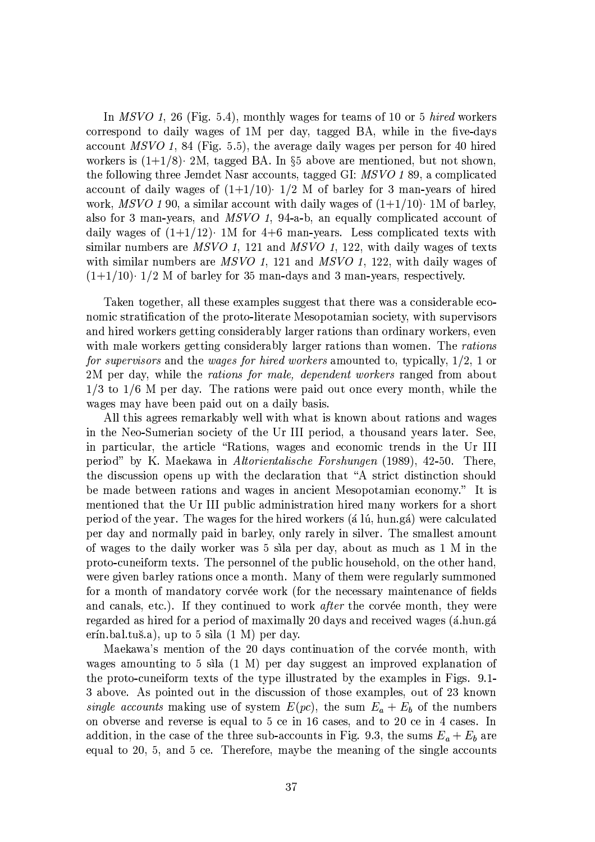In MSVO 1, 26 (Fig. 5.4), monthly wages for teams of 10 or 5 *hired* workers correspond to daily wages of 1M per day, tagged BA, while in the five-days account MSVO 1, 84 (Fig. 5.5), the average daily wages per person for 40 hired workers is  $(1+1/8)$ . 2M, tagged BA. In §5 above are mentioned, but not shown, the following three Jemdet Nasr accounts, tagged GI: MSVO 189, a complicated account of daily wages of  $(1+1/10)$   $1/2$  M of barley for 3 man-years of hired work, MSVO 190, a similar account with daily wages of  $(1+1/10)$ . 1M of barley, also for 3 man-years, and  $MSVO$  1, 94-a-b, an equally complicated account of daily wages of  $(1+1/12)$  1M for 4+6 man-years. Less complicated texts with similar numbers are  $MSVO$  1, 121 and  $MSVO$  1, 122, with daily wages of texts with similar numbers are  $MSVO$  1, 121 and  $MSVO$  1, 122, with daily wages of  $(1+1/10)$  1/2 M of barley for 35 man-days and 3 man-years, respectively.

Taken together, all these examples suggest that there was a considerable economic stratification of the proto-literate Mesopotamian society, with supervisors and hired workers getting considerably larger rations than ordinary workers, even with male workers getting considerably larger rations than women. The rations for supervisors and the wages for hired workers amounted to, typically, 1/2, 1 or 2M per day, while the rations for male, dependent workers ranged from about  $1/3$  to  $1/6$  M per day. The rations were paid out once every month, while the wages may have been paid out on a daily basis.

All this agrees remarkably well with what is known about rations and wages in the Neo-Sumerian society of the Ur III period, a thousand years later. See, in particular, the article "Rations, wages and economic trends in the Ur III period" by K. Maekawa in Altorientalische Forshungen (1989), 42-50. There, the discussion opens up with the declaration that "A strict distinction should be made between rations and wages in ancient Mesopotamian economy." It is mentioned that the Ur III public administration hired many workers for a short period of the year. The wages for the hired workers (a lu, hun.ga) were calculated per day and normally paid in barley, only rarely in silver. The smallest amount of wages to the daily worker was 5 sila per day, about as much as 1 M in the proto-cuneiform texts. The personnel of the public household, on the other hand, were given barley rations once a month. Many of them were regularly summoned for a month of mandatory corvée work (for the necessary maintenance of fields and canals, etc.). If they continued to work *after* the corvée month, they were regarded as hired for a period of maximally 20 days and received wages (á.hun.gá erín.bal.tuš.a), up to 5 sila  $(1 M)$  per day.

Maekawa's mention of the 20 days continuation of the corvée month, with wages amounting to 5 sila  $(1 M)$  per day suggest an improved explanation of the proto-cuneiform texts of the type illustrated by the examples in Figs. 9.1-3 above. As pointed out in the discussion of those examples, out of 23 known single accounts making use of system  $E(pc)$ , the sum  $E_a + E_b$  of the numbers on obverse and reverse is equal to 5 ce in 16 cases, and to 20 ce in 4 cases. In addition, in the case of the three sub-accounts in Fig. 9.3, the sums  $E_a + E_b$  are equal to 20, 5, and 5 ce. Therefore, maybe the meaning of the single accounts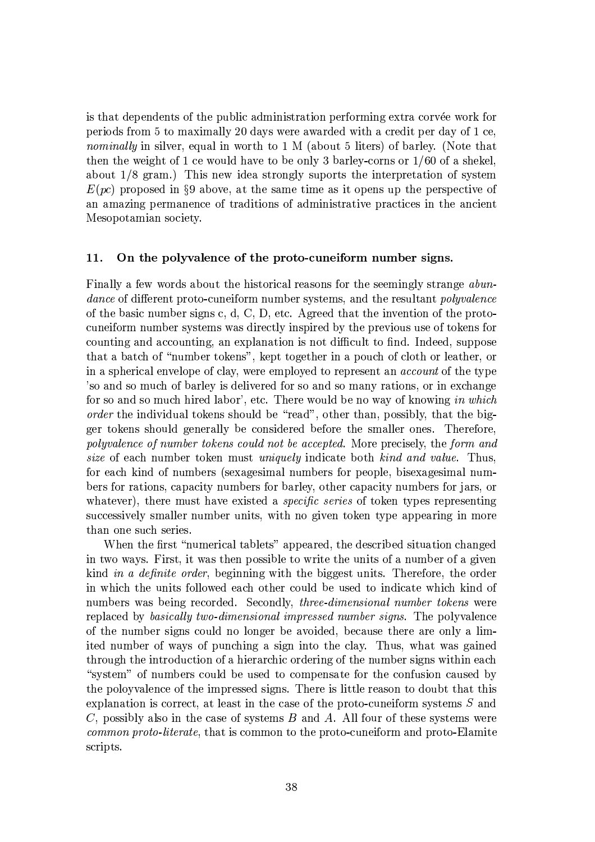is that dependents of the public administration performing extra corvée work for periods from 5 to maximally 20 days were awarded with a credit per day of 1 ce. *nominally* in silver, equal in worth to 1 M (about 5 liters) of barley. (Note that then the weight of 1 ce would have to be only 3 barley-corns or  $1/60$  of a shekel, about  $1/8$  gram.) This new idea strongly suports the interpretation of system  $E(pc)$  proposed in §9 above, at the same time as it opens up the perspective of an amazing permanence of traditions of administrative practices in the ancient Mesopotamian society.

#### 11. On the polyvalence of the proto-cuneiform number signs.

Finally a few words about the historical reasons for the seemingly strange abun*dance* of different proto-cuneiform number systems, and the resultant *polyvalence* of the basic number signs c, d, C, D, etc. Agreed that the invention of the protocuneiform number systems was directly inspired by the previous use of tokens for counting and accounting, an explanation is not difficult to find. Indeed, suppose that a batch of "number tokens", kept together in a pouch of cloth or leather, or in a spherical envelope of clay, were employed to represent an *account* of the type 'so and so much of barley is delivered for so and so many rations, or in exchange for so and so much hired labor', etc. There would be no way of knowing in which *order* the individual tokens should be "read", other than, possibly, that the bigger tokens should generally be considered before the smaller ones. Therefore, polyvalence of number tokens could not be accepted. More precisely, the form and size of each number token must uniquely indicate both kind and value. Thus, for each kind of numbers (sexagesimal numbers for people, bisexagesimal numbers for rations, capacity numbers for barley, other capacity numbers for jars, or whatever), there must have existed a *specific series* of token types representing successively smaller number units, with no given token type appearing in more than one such series.

When the first "numerical tablets" appeared, the described situation changed in two ways. First, it was then possible to write the units of a number of a given kind in a definite order, beginning with the biggest units. Therefore, the order in which the units followed each other could be used to indicate which kind of numbers was being recorded. Secondly, *three-dimensional number tokens* were replaced by basically two-dimensional impressed number signs. The polyvalence of the number signs could no longer be avoided, because there are only a limited number of ways of punching a sign into the clay. Thus, what was gained through the introduction of a hierarchic ordering of the number signs within each "system" of numbers could be used to compensate for the confusion caused by the poloyvalence of the impressed signs. There is little reason to doubt that this explanation is correct, at least in the case of the proto-cuneiform systems  $S$  and C, possibly also in the case of systems  $B$  and  $A$ . All four of these systems were common proto-literate, that is common to the proto-cuneiform and proto-Elamite scripts.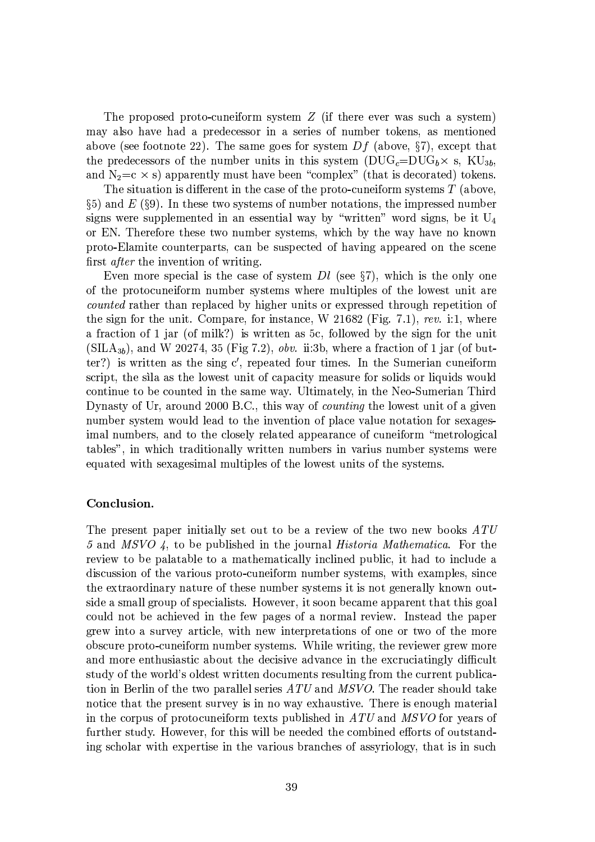The proposed proto-cuneiform system  $Z$  (if there ever was such a system) may also have had a predecessor in a series of number tokens, as mentioned above (see footnote 22). The same goes for system  $Df$  (above, §7), except that the predecessors of the number units in this system  $(DUG<sub>c</sub>=DUG<sub>b</sub> \times s, KU<sub>3b</sub>$ , and  $N_2=c \times s$ ) apparently must have been "complex" (that is decorated) tokens.

The situation is different in the case of the proto-cuneiform systems  $T$  (above,  $\S_5$ ) and E ( $\S_9$ ). In these two systems of number notations, the impressed number signs were supplemented in an essential way by "written" word signs, be it  $U_4$ or EN. Therefore these two number systems, which by the way have no known proto-Elamite counterparts, can be suspected of having appeared on the scene first *after* the invention of writing.

Even more special is the case of system  $Dl$  (see §7), which is the only one of the protocuneiform number systems where multiples of the lowest unit are *counted* rather than replaced by higher units or expressed through repetition of the sign for the unit. Compare, for instance, W 21682 (Fig. 7.1), rev. i:1, where a fraction of 1 jar (of milk?) is written as 5c, followed by the sign for the unit  $(SILA_{3b})$ , and W 20274, 35 (Fig 7.2), *obv.* ii:3b, where a fraction of 1 jar (of butter?) is written as the sing  $c'$ , repeated four times. In the Sumerian cuneiform script, the sila as the lowest unit of capacity measure for solids or liquids would continue to be counted in the same way. Ultimately, in the Neo-Sumerian Third Dynasty of Ur, around 2000 B.C., this way of *counting* the lowest unit of a given number system would lead to the invention of place value notation for sexagesimal numbers, and to the closely related appearance of cuneiform "metrological tables", in which traditionally written numbers in varius number systems were equated with sexagesimal multiples of the lowest units of the systems.

# Conclusion.

The present paper initially set out to be a review of the two new books ATU 5 and MSVO 4, to be published in the journal *Historia Mathematica*. For the review to be palatable to a mathematically inclined public, it had to include a discussion of the various proto-cuneiform number systems, with examples, since the extraordinary nature of these number systems it is not generally known outside a small group of specialists. However, it soon became apparent that this goal could not be achieved in the few pages of a normal review. Instead the paper grew into a survey article, with new interpretations of one or two of the more obscure proto-cuneiform number systems. While writing, the reviewer grew more and more enthusiastic about the decisive advance in the excruciatingly difficult study of the world's oldest written documents resulting from the current publication in Berlin of the two parallel series ATU and MSVO. The reader should take notice that the present survey is in no way exhaustive. There is enough material in the corpus of protocuneiform texts published in  $ATU$  and  $MSVO$  for years of further study. However, for this will be needed the combined efforts of outstanding scholar with expertise in the various branches of assyriology, that is in such